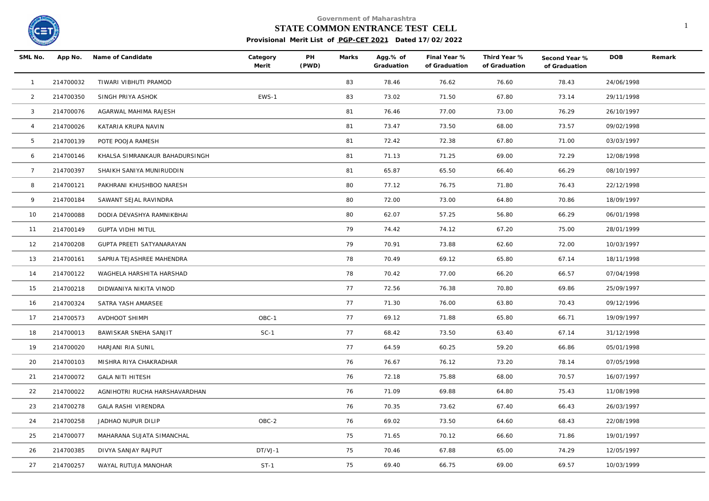

#### **STATE COMMON ENTRANCE TEST CELL** 1

| SML No.         |           | App No. Name of Candidate      | Category<br>Merit | PH<br>(PWD) | Marks | Agg.% of<br>Graduation | Final Year %<br>of Graduation | Third Year %<br>of Graduation | Second Year %<br>of Graduation | <b>DOB</b> | Remark |
|-----------------|-----------|--------------------------------|-------------------|-------------|-------|------------------------|-------------------------------|-------------------------------|--------------------------------|------------|--------|
| $\overline{1}$  | 214700032 | TIWARI VIBHUTI PRAMOD          |                   |             | 83    | 78.46                  | 76.62                         | 76.60                         | 78.43                          | 24/06/1998 |        |
| $\overline{2}$  | 214700350 | SINGH PRIYA ASHOK              | EWS-1             |             | 83    | 73.02                  | 71.50                         | 67.80                         | 73.14                          | 29/11/1998 |        |
| 3               | 214700076 | AGARWAL MAHIMA RAJESH          |                   |             | 81    | 76.46                  | 77.00                         | 73.00                         | 76.29                          | 26/10/1997 |        |
| $\overline{4}$  | 214700026 | KATARIA KRUPA NAVIN            |                   |             | 81    | 73.47                  | 73.50                         | 68.00                         | 73.57                          | 09/02/1998 |        |
| 5               | 214700139 | POTE POOJA RAMESH              |                   |             | 81    | 72.42                  | 72.38                         | 67.80                         | 71.00                          | 03/03/1997 |        |
| 6               | 214700146 | KHALSA SIMRANKAUR BAHADURSINGH |                   |             | 81    | 71.13                  | 71.25                         | 69.00                         | 72.29                          | 12/08/1998 |        |
| $7\overline{ }$ | 214700397 | SHAIKH SANIYA MUNIRUDDIN       |                   |             | 81    | 65.87                  | 65.50                         | 66.40                         | 66.29                          | 08/10/1997 |        |
| 8               | 214700121 | PAKHRANI KHUSHBOO NARESH       |                   |             | 80    | 77.12                  | 76.75                         | 71.80                         | 76.43                          | 22/12/1998 |        |
| 9               | 214700184 | SAWANT SEJAL RAVINDRA          |                   |             | 80    | 72.00                  | 73.00                         | 64.80                         | 70.86                          | 18/09/1997 |        |
| 10              | 214700088 | DODIA DEVASHYA RAMNIKBHAI      |                   |             | 80    | 62.07                  | 57.25                         | 56.80                         | 66.29                          | 06/01/1998 |        |
| 11              | 214700149 | <b>GUPTA VIDHI MITUL</b>       |                   |             | 79    | 74.42                  | 74.12                         | 67.20                         | 75.00                          | 28/01/1999 |        |
| 12              | 214700208 | GUPTA PREETI SATYANARAYAN      |                   |             | 79    | 70.91                  | 73.88                         | 62.60                         | 72.00                          | 10/03/1997 |        |
| 13              | 214700161 | SAPRIA TEJASHREE MAHENDRA      |                   |             | 78    | 70.49                  | 69.12                         | 65.80                         | 67.14                          | 18/11/1998 |        |
| 14              | 214700122 | WAGHELA HARSHITA HARSHAD       |                   |             | 78    | 70.42                  | 77.00                         | 66.20                         | 66.57                          | 07/04/1998 |        |
| 15              | 214700218 | DIDWANIYA NIKITA VINOD         |                   |             | 77    | 72.56                  | 76.38                         | 70.80                         | 69.86                          | 25/09/1997 |        |
| 16              | 214700324 | SATRA YASH AMARSEE             |                   |             | 77    | 71.30                  | 76.00                         | 63.80                         | 70.43                          | 09/12/1996 |        |
| 17              | 214700573 | <b>AVDHOOT SHIMPI</b>          | OBC-1             |             | 77    | 69.12                  | 71.88                         | 65.80                         | 66.71                          | 19/09/1997 |        |
| 18              | 214700013 | BAWISKAR SNEHA SANJIT          | $SC-1$            |             | 77    | 68.42                  | 73.50                         | 63.40                         | 67.14                          | 31/12/1998 |        |
| 19              | 214700020 | HARJANI RIA SUNIL              |                   |             | 77    | 64.59                  | 60.25                         | 59.20                         | 66.86                          | 05/01/1998 |        |
| 20              | 214700103 | MISHRA RIYA CHAKRADHAR         |                   |             | 76    | 76.67                  | 76.12                         | 73.20                         | 78.14                          | 07/05/1998 |        |
| 21              | 214700072 | <b>GALA NITI HITESH</b>        |                   |             | 76    | 72.18                  | 75.88                         | 68.00                         | 70.57                          | 16/07/1997 |        |
| 22              | 214700022 | AGNIHOTRI RUCHA HARSHAVARDHAN  |                   |             | 76    | 71.09                  | 69.88                         | 64.80                         | 75.43                          | 11/08/1998 |        |
| 23              | 214700278 | <b>GALA RASHI VIRENDRA</b>     |                   |             | 76    | 70.35                  | 73.62                         | 67.40                         | 66.43                          | 26/03/1997 |        |
| 24              | 214700258 | JADHAO NUPUR DILIP             | OBC-2             |             | 76    | 69.02                  | 73.50                         | 64.60                         | 68.43                          | 22/08/1998 |        |
| 25              | 214700077 | MAHARANA SUJATA SIMANCHAL      |                   |             | 75    | 71.65                  | 70.12                         | 66.60                         | 71.86                          | 19/01/1997 |        |
| 26              | 214700385 | DIVYA SANJAY RAJPUT            | DT/VJ-1           |             | 75    | 70.46                  | 67.88                         | 65.00                         | 74.29                          | 12/05/1997 |        |
| 27              | 214700257 | WAYAL RUTUJA MANOHAR           | $ST-1$            |             | 75    | 69.40                  | 66.75                         | 69.00                         | 69.57                          | 10/03/1999 |        |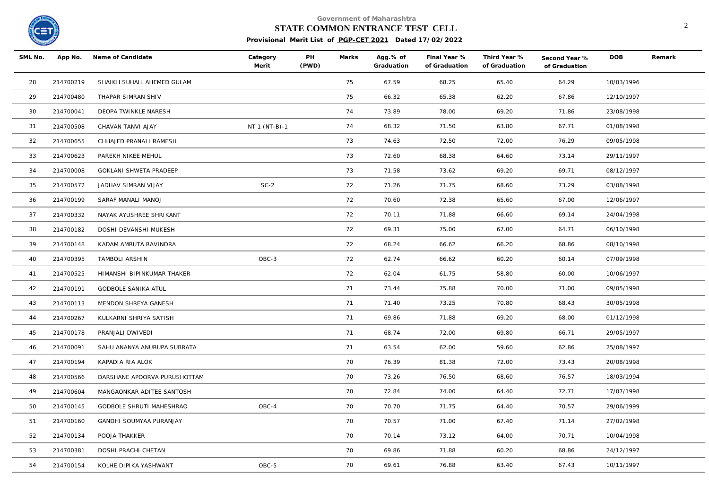

## **STATE COMMON ENTRANCE TEST CELL** 2

| SML No. |           | App No. Name of Candidate       | Category<br>Merit | PH<br>(PWD) | Marks | Agg.% of<br>Graduation | Final Year %<br>of Graduation | Third Year %<br>of Graduation | Second Year %<br>of Graduation | <b>DOB</b> | Remark |
|---------|-----------|---------------------------------|-------------------|-------------|-------|------------------------|-------------------------------|-------------------------------|--------------------------------|------------|--------|
| 28      | 214700219 | SHAIKH SUHAIL AHEMED GULAM      |                   |             | 75    | 67.59                  | 68.25                         | 65.40                         | 64.29                          | 10/03/1996 |        |
| 29      | 214700480 | THAPAR SIMRAN SHIV              |                   |             | 75    | 66.32                  | 65.38                         | 62.20                         | 67.86                          | 12/10/1997 |        |
| 30      | 214700041 | DEOPA TWINKLE NARESH            |                   |             | 74    | 73.89                  | 78.00                         | 69.20                         | 71.86                          | 23/08/1998 |        |
| 31      | 214700508 | CHAVAN TANVI AJAY               | NT 1 (NT-B)-1     |             | 74    | 68.32                  | 71.50                         | 63.80                         | 67.71                          | 01/08/1998 |        |
| 32      | 214700655 | CHHAJED PRANALI RAMESH          |                   |             | 73    | 74.63                  | 72.50                         | 72.00                         | 76.29                          | 09/05/1998 |        |
| 33      | 214700623 | PAREKH NIKEE MEHUL              |                   |             | 73    | 72.60                  | 68.38                         | 64.60                         | 73.14                          | 29/11/1997 |        |
| 34      | 214700008 | GOKLANI SHWETA PRADEEP          |                   |             | 73    | 71.58                  | 73.62                         | 69.20                         | 69.71                          | 08/12/1997 |        |
| 35      | 214700572 | JADHAV SIMRAN VIJAY             | $SC-2$            |             | 72    | 71.26                  | 71.75                         | 68.60                         | 73.29                          | 03/08/1998 |        |
| 36      | 214700199 | SARAF MANALI MANOJ              |                   |             | 72    | 70.60                  | 72.38                         | 65.60                         | 67.00                          | 12/06/1997 |        |
| 37      | 214700332 | NAYAK AYUSHREE SHRIKANT         |                   |             | 72    | 70.11                  | 71.88                         | 66.60                         | 69.14                          | 24/04/1998 |        |
| 38      | 214700182 | DOSHI DEVANSHI MUKESH           |                   |             | 72    | 69.31                  | 75.00                         | 67.00                         | 64.71                          | 06/10/1998 |        |
| 39      | 214700148 | KADAM AMRUTA RAVINDRA           |                   |             | 72    | 68.24                  | 66.62                         | 66.20                         | 68.86                          | 08/10/1998 |        |
| 40      | 214700395 | TAMBOLI ARSHIN                  | OBC-3             |             | 72    | 62.74                  | 66.62                         | 60.20                         | 60.14                          | 07/09/1998 |        |
| 41      | 214700525 | HIMANSHI BIPINKUMAR THAKER      |                   |             | 72    | 62.04                  | 61.75                         | 58.80                         | 60.00                          | 10/06/1997 |        |
| 42      | 214700191 | <b>GODBOLE SANIKA ATUL</b>      |                   |             | 71    | 73.44                  | 75.88                         | 70.00                         | 71.00                          | 09/05/1998 |        |
| 43      | 214700113 | MENDON SHREYA GANESH            |                   |             | 71    | 71.40                  | 73.25                         | 70.80                         | 68.43                          | 30/05/1998 |        |
| 44      | 214700267 | KULKARNI SHRIYA SATISH          |                   |             | 71    | 69.86                  | 71.88                         | 69.20                         | 68.00                          | 01/12/1998 |        |
| 45      | 214700178 | PRANJALI DWIVEDI                |                   |             | 71    | 68.74                  | 72.00                         | 69.80                         | 66.71                          | 29/05/1997 |        |
| 46      | 214700091 | SAHU ANANYA ANURUPA SUBRATA     |                   |             | 71    | 63.54                  | 62.00                         | 59.60                         | 62.86                          | 25/08/1997 |        |
| 47      | 214700194 | KAPADIA RIA ALOK                |                   |             | 70    | 76.39                  | 81.38                         | 72.00                         | 73.43                          | 20/08/1998 |        |
| 48      | 214700566 | DARSHANE APOORVA PURUSHOTTAM    |                   |             | 70    | 73.26                  | 76.50                         | 68.60                         | 76.57                          | 18/03/1994 |        |
| 49      | 214700604 | MANGAONKAR ADITEE SANTOSH       |                   |             | 70    | 72.84                  | 74.00                         | 64.40                         | 72.71                          | 17/07/1998 |        |
| 50      | 214700145 | <b>GODBOLE SHRUTI MAHESHRAO</b> | OBC-4             |             | 70    | 70.70                  | 71.75                         | 64.40                         | 70.57                          | 29/06/1999 |        |
| 51      | 214700160 | GANDHI SOUMYAA PURANJAY         |                   |             | 70    | 70.57                  | 71.00                         | 67.40                         | 71.14                          | 27/02/1998 |        |
| 52      | 214700134 | POOJA THAKKER                   |                   |             | 70    | 70.14                  | 73.12                         | 64.00                         | 70.71                          | 10/04/1998 |        |
| 53      | 214700381 | DOSHI PRACHI CHETAN             |                   |             | 70    | 69.86                  | 71.88                         | 60.20                         | 68.86                          | 24/12/1997 |        |
| 54      | 214700154 | KOLHE DIPIKA YASHWANT           | OBC-5             |             | 70    | 69.61                  | 76.88                         | 63.40                         | 67.43                          | 10/11/1997 |        |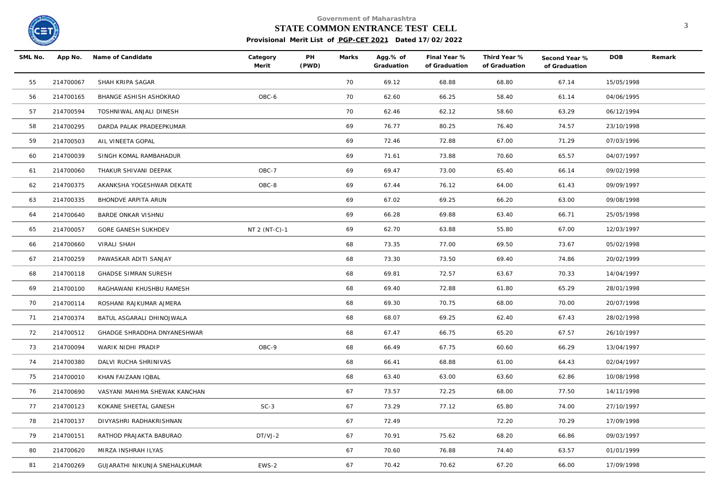

# **STATE COMMON ENTRANCE TEST CELL** 3

| SML No. |           | App No. Name of Candidate     | Category<br>Merit | PH<br>(PWD) | Marks | Agg.% of<br>Graduation | Final Year %<br>of Graduation | Third Year %<br>of Graduation | Second Year %<br>of Graduation | <b>DOB</b> | Remark |
|---------|-----------|-------------------------------|-------------------|-------------|-------|------------------------|-------------------------------|-------------------------------|--------------------------------|------------|--------|
| 55      | 214700067 | SHAH KRIPA SAGAR              |                   |             | 70    | 69.12                  | 68.88                         | 68.80                         | 67.14                          | 15/05/1998 |        |
| 56      | 214700165 | BHANGE ASHISH ASHOKRAO        | OBC-6             |             | 70    | 62.60                  | 66.25                         | 58.40                         | 61.14                          | 04/06/1995 |        |
| 57      | 214700594 | TOSHNIWAL ANJALI DINESH       |                   |             | 70    | 62.46                  | 62.12                         | 58.60                         | 63.29                          | 06/12/1994 |        |
| 58      | 214700295 | DARDA PALAK PRADEEPKUMAR      |                   |             | 69    | 76.77                  | 80.25                         | 76.40                         | 74.57                          | 23/10/1998 |        |
| 59      | 214700503 | AIL VINEETA GOPAL             |                   |             | 69    | 72.46                  | 72.88                         | 67.00                         | 71.29                          | 07/03/1996 |        |
| 60      | 214700039 | SINGH KOMAL RAMBAHADUR        |                   |             | 69    | 71.61                  | 73.88                         | 70.60                         | 65.57                          | 04/07/1997 |        |
| 61      | 214700060 | THAKUR SHIVANI DEEPAK         | OBC-7             |             | 69    | 69.47                  | 73.00                         | 65.40                         | 66.14                          | 09/02/1998 |        |
| 62      | 214700375 | AKANKSHA YOGESHWAR DEKATE     | OBC-8             |             | 69    | 67.44                  | 76.12                         | 64.00                         | 61.43                          | 09/09/1997 |        |
| 63      | 214700335 | BHONDVE ARPITA ARUN           |                   |             | 69    | 67.02                  | 69.25                         | 66.20                         | 63.00                          | 09/08/1998 |        |
| 64      | 214700640 | BARDE ONKAR VISHNU            |                   |             | 69    | 66.28                  | 69.88                         | 63.40                         | 66.71                          | 25/05/1998 |        |
| 65      | 214700057 | GORE GANESH SUKHDEV           | NT 2 (NT-C)-1     |             | 69    | 62.70                  | 63.88                         | 55.80                         | 67.00                          | 12/03/1997 |        |
| 66      | 214700660 | VIRALI SHAH                   |                   |             | 68    | 73.35                  | 77.00                         | 69.50                         | 73.67                          | 05/02/1998 |        |
| 67      | 214700259 | PAWASKAR ADITI SANJAY         |                   |             | 68    | 73.30                  | 73.50                         | 69.40                         | 74.86                          | 20/02/1999 |        |
| 68      | 214700118 | GHADSE SIMRAN SURESH          |                   |             | 68    | 69.81                  | 72.57                         | 63.67                         | 70.33                          | 14/04/1997 |        |
| 69      | 214700100 | RAGHAWANI KHUSHBU RAMESH      |                   |             | 68    | 69.40                  | 72.88                         | 61.80                         | 65.29                          | 28/01/1998 |        |
| 70      | 214700114 | ROSHANI RAJKUMAR AJMERA       |                   |             | 68    | 69.30                  | 70.75                         | 68.00                         | 70.00                          | 20/07/1998 |        |
| 71      | 214700374 | BATUL ASGARALI DHINOJWALA     |                   |             | 68    | 68.07                  | 69.25                         | 62.40                         | 67.43                          | 28/02/1998 |        |
| 72      | 214700512 | GHADGE SHRADDHA DNYANESHWAR   |                   |             | 68    | 67.47                  | 66.75                         | 65.20                         | 67.57                          | 26/10/1997 |        |
| 73      | 214700094 | WARIK NIDHI PRADIP            | OBC-9             |             | 68    | 66.49                  | 67.75                         | 60.60                         | 66.29                          | 13/04/1997 |        |
| 74      | 214700380 | DALVI RUCHA SHRINIVAS         |                   |             | 68    | 66.41                  | 68.88                         | 61.00                         | 64.43                          | 02/04/1997 |        |
| 75      | 214700010 | KHAN FAIZAAN IQBAL            |                   |             | 68    | 63.40                  | 63.00                         | 63.60                         | 62.86                          | 10/08/1998 |        |
| 76      | 214700690 | VASYANI MAHIMA SHEWAK KANCHAN |                   |             | 67    | 73.57                  | 72.25                         | 68.00                         | 77.50                          | 14/11/1998 |        |
| 77      | 214700123 | KOKANE SHEETAL GANESH         | $SC-3$            |             | 67    | 73.29                  | 77.12                         | 65.80                         | 74.00                          | 27/10/1997 |        |
| 78      | 214700137 | DIVYASHRI RADHAKRISHNAN       |                   |             | 67    | 72.49                  |                               | 72.20                         | 70.29                          | 17/09/1998 |        |
| 79      | 214700151 | RATHOD PRAJAKTA BABURAO       | DT/VJ-2           |             | 67    | 70.91                  | 75.62                         | 68.20                         | 66.86                          | 09/03/1997 |        |
| 80      | 214700620 | MIRZA INSHRAH ILYAS           |                   |             | 67    | 70.60                  | 76.88                         | 74.40                         | 63.57                          | 01/01/1999 |        |
| 81      | 214700269 | GUJARATHI NIKUNJA SNEHALKUMAR | EWS-2             |             | 67    | 70.42                  | 70.62                         | 67.20                         | 66.00                          | 17/09/1998 |        |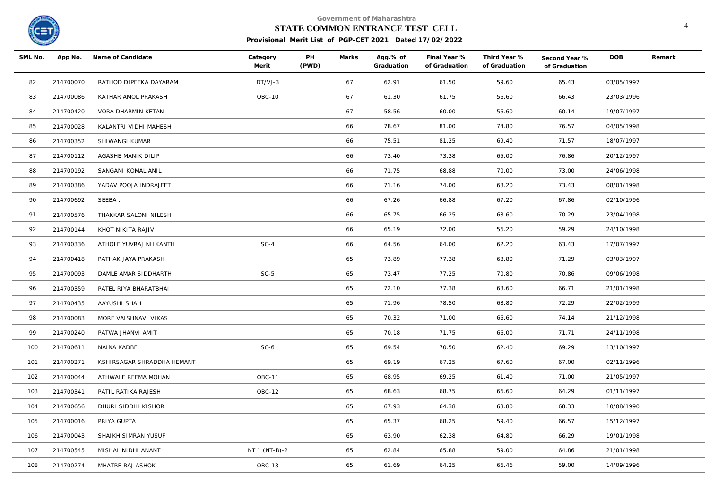

#### **STATE COMMON ENTRANCE TEST CELL** 4

| SML No. |           | App No. Name of Candidate  | Category<br>Merit | PH<br>(PWD) | Marks | Agg.% of<br>Graduation | Final Year %<br>of Graduation | Third Year %<br>of Graduation | Second Year %<br>of Graduation | DOB        | Remark |
|---------|-----------|----------------------------|-------------------|-------------|-------|------------------------|-------------------------------|-------------------------------|--------------------------------|------------|--------|
| 82      | 214700070 | RATHOD DIPEEKA DAYARAM     | DT/VJ-3           |             | 67    | 62.91                  | 61.50                         | 59.60                         | 65.43                          | 03/05/1997 |        |
| 83      | 214700086 | KATHAR AMOL PRAKASH        | <b>OBC-10</b>     |             | 67    | 61.30                  | 61.75                         | 56.60                         | 66.43                          | 23/03/1996 |        |
| 84      | 214700420 | VORA DHARMIN KETAN         |                   |             | 67    | 58.56                  | 60.00                         | 56.60                         | 60.14                          | 19/07/1997 |        |
| 85      | 214700028 | KALANTRI VIDHI MAHESH      |                   |             | 66    | 78.67                  | 81.00                         | 74.80                         | 76.57                          | 04/05/1998 |        |
| 86      | 214700352 | SHIWANGI KUMAR             |                   |             | 66    | 75.51                  | 81.25                         | 69.40                         | 71.57                          | 18/07/1997 |        |
| 87      | 214700112 | AGASHE MANIK DILIP         |                   |             | 66    | 73.40                  | 73.38                         | 65.00                         | 76.86                          | 20/12/1997 |        |
| 88      | 214700192 | SANGANI KOMAL ANIL         |                   |             | 66    | 71.75                  | 68.88                         | 70.00                         | 73.00                          | 24/06/1998 |        |
| 89      | 214700386 | YADAV POOJA INDRAJEET      |                   |             | 66    | 71.16                  | 74.00                         | 68.20                         | 73.43                          | 08/01/1998 |        |
| 90      | 214700692 | SEEBA.                     |                   |             | 66    | 67.26                  | 66.88                         | 67.20                         | 67.86                          | 02/10/1996 |        |
| 91      | 214700576 | THAKKAR SALONI NILESH      |                   |             | 66    | 65.75                  | 66.25                         | 63.60                         | 70.29                          | 23/04/1998 |        |
| 92      | 214700144 | KHOT NIKITA RAJIV          |                   |             | 66    | 65.19                  | 72.00                         | 56.20                         | 59.29                          | 24/10/1998 |        |
| 93      | 214700336 | ATHOLE YUVRAJ NILKANTH     | $SC-4$            |             | 66    | 64.56                  | 64.00                         | 62.20                         | 63.43                          | 17/07/1997 |        |
| 94      | 214700418 | PATHAK JAYA PRAKASH        |                   |             | 65    | 73.89                  | 77.38                         | 68.80                         | 71.29                          | 03/03/1997 |        |
| 95      | 214700093 | DAMLE AMAR SIDDHARTH       | $SC-5$            |             | 65    | 73.47                  | 77.25                         | 70.80                         | 70.86                          | 09/06/1998 |        |
| 96      | 214700359 | PATEL RIYA BHARATBHAI      |                   |             | 65    | 72.10                  | 77.38                         | 68.60                         | 66.71                          | 21/01/1998 |        |
| 97      | 214700435 | AAYUSHI SHAH               |                   |             | 65    | 71.96                  | 78.50                         | 68.80                         | 72.29                          | 22/02/1999 |        |
| 98      | 214700083 | MORE VAISHNAVI VIKAS       |                   |             | 65    | 70.32                  | 71.00                         | 66.60                         | 74.14                          | 21/12/1998 |        |
| 99      | 214700240 | PATWA JHANVI AMIT          |                   |             | 65    | 70.18                  | 71.75                         | 66.00                         | 71.71                          | 24/11/1998 |        |
| 100     | 214700611 | NAINA KADBE                | $SC-6$            |             | 65    | 69.54                  | 70.50                         | 62.40                         | 69.29                          | 13/10/1997 |        |
| 101     | 214700271 | KSHIRSAGAR SHRADDHA HEMANT |                   |             | 65    | 69.19                  | 67.25                         | 67.60                         | 67.00                          | 02/11/1996 |        |
| 102     | 214700044 | ATHWALE REEMA MOHAN        | <b>OBC-11</b>     |             | 65    | 68.95                  | 69.25                         | 61.40                         | 71.00                          | 21/05/1997 |        |
| 103     | 214700341 | PATIL RATIKA RAJESH        | <b>OBC-12</b>     |             | 65    | 68.63                  | 68.75                         | 66.60                         | 64.29                          | 01/11/1997 |        |
| 104     | 214700656 | DHURI SIDDHI KISHOR        |                   |             | 65    | 67.93                  | 64.38                         | 63.80                         | 68.33                          | 10/08/1990 |        |
| 105     | 214700016 | PRIYA GUPTA                |                   |             | 65    | 65.37                  | 68.25                         | 59.40                         | 66.57                          | 15/12/1997 |        |
| 106     | 214700043 | SHAIKH SIMRAN YUSUF        |                   |             | 65    | 63.90                  | 62.38                         | 64.80                         | 66.29                          | 19/01/1998 |        |
| 107     | 214700545 | MISHAL NIDHI ANANT         | NT 1 (NT-B)-2     |             | 65    | 62.84                  | 65.88                         | 59.00                         | 64.86                          | 21/01/1998 |        |
| 108     | 214700274 | MHATRE RAJ ASHOK           | OBC-13            |             | 65    | 61.69                  | 64.25                         | 66.46                         | 59.00                          | 14/09/1996 |        |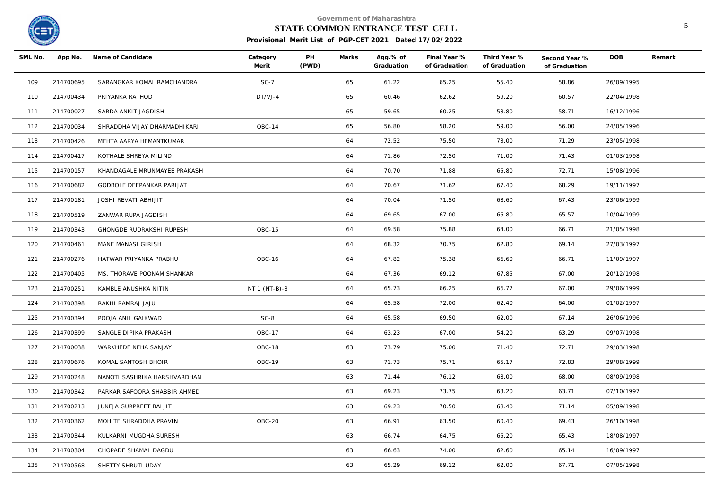

#### **STATE COMMON ENTRANCE TEST CELL** 5

| SML No. | App No.   | Name of Candidate            | Category<br>Merit | PH<br>(PWD) | Marks | Agg.% of<br>Graduation | Final Year %<br>of Graduation | Third Year %<br>of Graduation | Second Year %<br>of Graduation | <b>DOB</b> | Remark |
|---------|-----------|------------------------------|-------------------|-------------|-------|------------------------|-------------------------------|-------------------------------|--------------------------------|------------|--------|
| 109     | 214700695 | SARANGKAR KOMAL RAMCHANDRA   | $SC-7$            |             | 65    | 61.22                  | 65.25                         | 55.40                         | 58.86                          | 26/09/1995 |        |
| 110     | 214700434 | PRIYANKA RATHOD              | $DT/VJ-4$         |             | 65    | 60.46                  | 62.62                         | 59.20                         | 60.57                          | 22/04/1998 |        |
| 111     | 214700027 | SARDA ANKIT JAGDISH          |                   |             | 65    | 59.65                  | 60.25                         | 53.80                         | 58.71                          | 16/12/1996 |        |
| 112     | 214700034 | SHRADDHA VIJAY DHARMADHIKARI | OBC-14            |             | 65    | 56.80                  | 58.20                         | 59.00                         | 56.00                          | 24/05/1996 |        |
| 113     | 214700426 | MEHTA AARYA HEMANTKUMAR      |                   |             | 64    | 72.52                  | 75.50                         | 73.00                         | 71.29                          | 23/05/1998 |        |
| 114     | 214700417 | KOTHALE SHREYA MILIND        |                   |             | 64    | 71.86                  | 72.50                         | 71.00                         | 71.43                          | 01/03/1998 |        |
| 115     | 214700157 | KHANDAGALE MRUNMAYEE PRAKASH |                   |             | 64    | 70.70                  | 71.88                         | 65.80                         | 72.71                          | 15/08/1996 |        |
| 116     | 214700682 | GODBOLE DEEPANKAR PARIJAT    |                   |             | 64    | 70.67                  | 71.62                         | 67.40                         | 68.29                          | 19/11/1997 |        |
| 117     | 214700181 | JOSHI REVATI ABHIJIT         |                   |             | 64    | 70.04                  | 71.50                         | 68.60                         | 67.43                          | 23/06/1999 |        |
| 118     | 214700519 | ZANWAR RUPA JAGDISH          |                   |             | 64    | 69.65                  | 67.00                         | 65.80                         | 65.57                          | 10/04/1999 |        |
| 119     | 214700343 | GHONGDE RUDRAKSHI RUPESH     | OBC-15            |             | 64    | 69.58                  | 75.88                         | 64.00                         | 66.71                          | 21/05/1998 |        |
| 120     | 214700461 | MANE MANASI GIRISH           |                   |             | 64    | 68.32                  | 70.75                         | 62.80                         | 69.14                          | 27/03/1997 |        |
| 121     | 214700276 | HATWAR PRIYANKA PRABHU       | OBC-16            |             | 64    | 67.82                  | 75.38                         | 66.60                         | 66.71                          | 11/09/1997 |        |
| 122     | 214700405 | MS. THORAVE POONAM SHANKAR   |                   |             | 64    | 67.36                  | 69.12                         | 67.85                         | 67.00                          | 20/12/1998 |        |
| 123     | 214700251 | KAMBLE ANUSHKA NITIN         | NT 1 (NT-B)-3     |             | 64    | 65.73                  | 66.25                         | 66.77                         | 67.00                          | 29/06/1999 |        |
| 124     | 214700398 | RAKHI RAMRAJ JAJU            |                   |             | 64    | 65.58                  | 72.00                         | 62.40                         | 64.00                          | 01/02/1997 |        |
| 125     | 214700394 | POOJA ANIL GAIKWAD           | $SC-8$            |             | 64    | 65.58                  | 69.50                         | 62.00                         | 67.14                          | 26/06/1996 |        |
| 126     | 214700399 | SANGLE DIPIKA PRAKASH        | OBC-17            |             | 64    | 63.23                  | 67.00                         | 54.20                         | 63.29                          | 09/07/1998 |        |
| 127     | 214700038 | WARKHEDE NEHA SANJAY         | OBC-18            |             | 63    | 73.79                  | 75.00                         | 71.40                         | 72.71                          | 29/03/1998 |        |
| 128     | 214700676 | KOMAL SANTOSH BHOIR          | OBC-19            |             | 63    | 71.73                  | 75.71                         | 65.17                         | 72.83                          | 29/08/1999 |        |
| 129     | 214700248 | NANOTI SASHRIKA HARSHVARDHAN |                   |             | 63    | 71.44                  | 76.12                         | 68.00                         | 68.00                          | 08/09/1998 |        |
| 130     | 214700342 | PARKAR SAFOORA SHABBIR AHMED |                   |             | 63    | 69.23                  | 73.75                         | 63.20                         | 63.71                          | 07/10/1997 |        |
| 131     | 214700213 | JUNEJA GURPREET BALJIT       |                   |             | 63    | 69.23                  | 70.50                         | 68.40                         | 71.14                          | 05/09/1998 |        |
| 132     | 214700362 | MOHITE SHRADDHA PRAVIN       | OBC-20            |             | 63    | 66.91                  | 63.50                         | 60.40                         | 69.43                          | 26/10/1998 |        |
| 133     | 214700344 | KULKARNI MUGDHA SURESH       |                   |             | 63    | 66.74                  | 64.75                         | 65.20                         | 65.43                          | 18/08/1997 |        |
| 134     | 214700304 | CHOPADE SHAMAL DAGDU         |                   |             | 63    | 66.63                  | 74.00                         | 62.60                         | 65.14                          | 16/09/1997 |        |
| 135     | 214700568 | SHETTY SHRUTI UDAY           |                   |             | 63    | 65.29                  | 69.12                         | 62.00                         | 67.71                          | 07/05/1998 |        |
|         |           |                              |                   |             |       |                        |                               |                               |                                |            |        |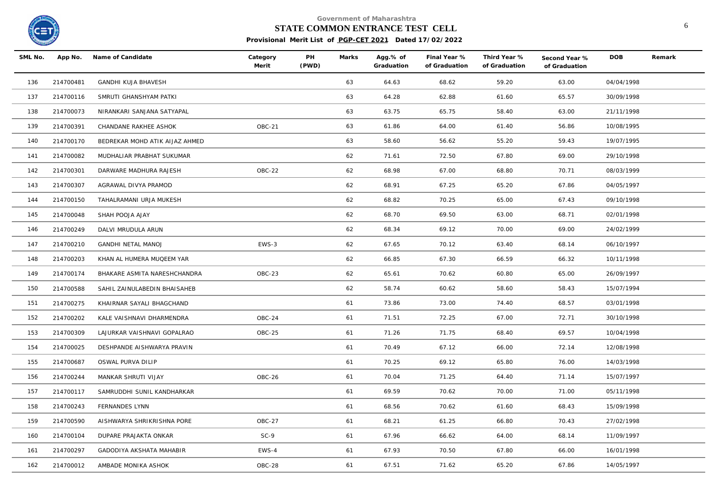

#### **STATE COMMON ENTRANCE TEST CELL** 6

| SML No. | App No.   | Name of Candidate              | Category<br>Merit | PH<br>(PWD) | Marks | Agg.% of<br>Graduation | Final Year %<br>of Graduation | Third Year %<br>of Graduation | Second Year %<br>of Graduation | <b>DOB</b> | Remark |
|---------|-----------|--------------------------------|-------------------|-------------|-------|------------------------|-------------------------------|-------------------------------|--------------------------------|------------|--------|
| 136     | 214700481 | <b>GANDHI KUJA BHAVESH</b>     |                   |             | 63    | 64.63                  | 68.62                         | 59.20                         | 63.00                          | 04/04/1998 |        |
| 137     | 214700116 | SMRUTI GHANSHYAM PATKI         |                   |             | 63    | 64.28                  | 62.88                         | 61.60                         | 65.57                          | 30/09/1998 |        |
| 138     | 214700073 | NIRANKARI SANJANA SATYAPAL     |                   |             | 63    | 63.75                  | 65.75                         | 58.40                         | 63.00                          | 21/11/1998 |        |
| 139     | 214700391 | CHANDANE RAKHEE ASHOK          | OBC-21            |             | 63    | 61.86                  | 64.00                         | 61.40                         | 56.86                          | 10/08/1995 |        |
| 140     | 214700170 | BEDREKAR MOHD ATIK AIJAZ AHMED |                   |             | 63    | 58.60                  | 56.62                         | 55.20                         | 59.43                          | 19/07/1995 |        |
| 141     | 214700082 | MUDHALIAR PRABHAT SUKUMAR      |                   |             | 62    | 71.61                  | 72.50                         | 67.80                         | 69.00                          | 29/10/1998 |        |
| 142     | 214700301 | DARWARE MADHURA RAJESH         | OBC-22            |             | 62    | 68.98                  | 67.00                         | 68.80                         | 70.71                          | 08/03/1999 |        |
| 143     | 214700307 | AGRAWAL DIVYA PRAMOD           |                   |             | 62    | 68.91                  | 67.25                         | 65.20                         | 67.86                          | 04/05/1997 |        |
| 144     | 214700150 | TAHALRAMANI URJA MUKESH        |                   |             | 62    | 68.82                  | 70.25                         | 65.00                         | 67.43                          | 09/10/1998 |        |
| 145     | 214700048 | SHAH POOJA AJAY                |                   |             | 62    | 68.70                  | 69.50                         | 63.00                         | 68.71                          | 02/01/1998 |        |
| 146     | 214700249 | DALVI MRUDULA ARUN             |                   |             | 62    | 68.34                  | 69.12                         | 70.00                         | 69.00                          | 24/02/1999 |        |
| 147     | 214700210 | <b>GANDHI NETAL MANOJ</b>      | EWS-3             |             | 62    | 67.65                  | 70.12                         | 63.40                         | 68.14                          | 06/10/1997 |        |
| 148     | 214700203 | KHAN AL HUMERA MUQEEM YAR      |                   |             | 62    | 66.85                  | 67.30                         | 66.59                         | 66.32                          | 10/11/1998 |        |
| 149     | 214700174 | BHAKARE ASMITA NARESHCHANDRA   | OBC-23            |             | 62    | 65.61                  | 70.62                         | 60.80                         | 65.00                          | 26/09/1997 |        |
| 150     | 214700588 | SAHIL ZAINULABEDIN BHAISAHEB   |                   |             | 62    | 58.74                  | 60.62                         | 58.60                         | 58.43                          | 15/07/1994 |        |
| 151     | 214700275 | KHAIRNAR SAYALI BHAGCHAND      |                   |             | 61    | 73.86                  | 73.00                         | 74.40                         | 68.57                          | 03/01/1998 |        |
| 152     | 214700202 | KALE VAISHNAVI DHARMENDRA      | OBC-24            |             | 61    | 71.51                  | 72.25                         | 67.00                         | 72.71                          | 30/10/1998 |        |
| 153     | 214700309 | LAJURKAR VAISHNAVI GOPALRAO    | OBC-25            |             | 61    | 71.26                  | 71.75                         | 68.40                         | 69.57                          | 10/04/1998 |        |
| 154     | 214700025 | DESHPANDE AISHWARYA PRAVIN     |                   |             | 61    | 70.49                  | 67.12                         | 66.00                         | 72.14                          | 12/08/1998 |        |
| 155     | 214700687 | OSWAL PURVA DILIP              |                   |             | 61    | 70.25                  | 69.12                         | 65.80                         | 76.00                          | 14/03/1998 |        |
| 156     | 214700244 | MANKAR SHRUTI VIJAY            | OBC-26            |             | 61    | 70.04                  | 71.25                         | 64.40                         | 71.14                          | 15/07/1997 |        |
| 157     | 214700117 | SAMRUDDHI SUNIL KANDHARKAR     |                   |             | 61    | 69.59                  | 70.62                         | 70.00                         | 71.00                          | 05/11/1998 |        |
| 158     | 214700243 | FERNANDES LYNN                 |                   |             | 61    | 68.56                  | 70.62                         | 61.60                         | 68.43                          | 15/09/1998 |        |
| 159     | 214700590 | AISHWARYA SHRIKRISHNA PORE     | OBC-27            |             | 61    | 68.21                  | 61.25                         | 66.80                         | 70.43                          | 27/02/1998 |        |
| 160     | 214700104 | DUPARE PRAJAKTA ONKAR          | $SC-9$            |             | 61    | 67.96                  | 66.62                         | 64.00                         | 68.14                          | 11/09/1997 |        |
| 161     | 214700297 | GADODIYA AKSHATA MAHABIR       | EWS-4             |             | 61    | 67.93                  | 70.50                         | 67.80                         | 66.00                          | 16/01/1998 |        |
| 162     | 214700012 | AMBADE MONIKA ASHOK            | OBC-28            |             | 61    | 67.51                  | 71.62                         | 65.20                         | 67.86                          | 14/05/1997 |        |
|         |           |                                |                   |             |       |                        |                               |                               |                                |            |        |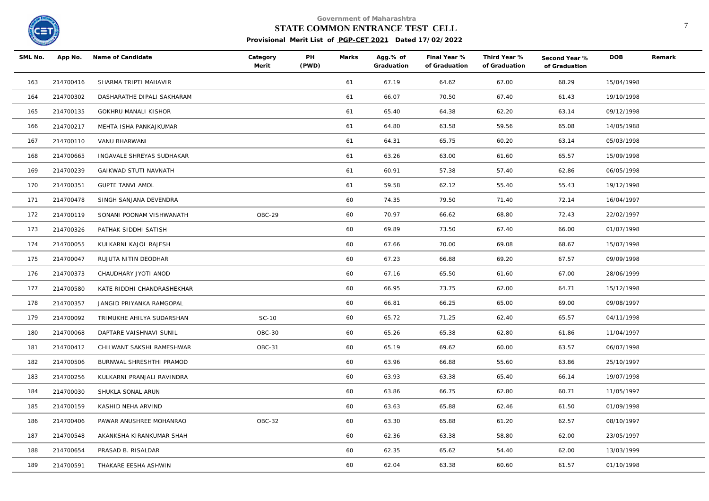

# **STATE COMMON ENTRANCE TEST CELL** <sup>7</sup>

| SML No. | App No.   | Name of Candidate          | Category<br>Merit | PH<br>(PWD) | Marks | Agg.% of<br>Graduation | Final Year %<br>of Graduation | Third Year %<br>of Graduation | Second Year %<br>of Graduation | <b>DOB</b> | Remark |
|---------|-----------|----------------------------|-------------------|-------------|-------|------------------------|-------------------------------|-------------------------------|--------------------------------|------------|--------|
| 163     | 214700416 | SHARMA TRIPTI MAHAVIR      |                   |             | 61    | 67.19                  | 64.62                         | 67.00                         | 68.29                          | 15/04/1998 |        |
| 164     | 214700302 | DASHARATHE DIPALI SAKHARAM |                   |             | 61    | 66.07                  | 70.50                         | 67.40                         | 61.43                          | 19/10/1998 |        |
| 165     | 214700135 | GOKHRU MANALI KISHOR       |                   |             | 61    | 65.40                  | 64.38                         | 62.20                         | 63.14                          | 09/12/1998 |        |
| 166     | 214700217 | MEHTA ISHA PANKAJKUMAR     |                   |             | 61    | 64.80                  | 63.58                         | 59.56                         | 65.08                          | 14/05/1988 |        |
| 167     | 214700110 | VANU BHARWANI              |                   |             | 61    | 64.31                  | 65.75                         | 60.20                         | 63.14                          | 05/03/1998 |        |
| 168     | 214700665 | INGAVALE SHREYAS SUDHAKAR  |                   |             | 61    | 63.26                  | 63.00                         | 61.60                         | 65.57                          | 15/09/1998 |        |
| 169     | 214700239 | GAIKWAD STUTI NAVNATH      |                   |             | 61    | 60.91                  | 57.38                         | 57.40                         | 62.86                          | 06/05/1998 |        |
| 170     | 214700351 | <b>GUPTE TANVI AMOL</b>    |                   |             | 61    | 59.58                  | 62.12                         | 55.40                         | 55.43                          | 19/12/1998 |        |
| 171     | 214700478 | SINGH SANJANA DEVENDRA     |                   |             | 60    | 74.35                  | 79.50                         | 71.40                         | 72.14                          | 16/04/1997 |        |
| 172     | 214700119 | SONANI POONAM VISHWANATH   | OBC-29            |             | 60    | 70.97                  | 66.62                         | 68.80                         | 72.43                          | 22/02/1997 |        |
| 173     | 214700326 | PATHAK SIDDHI SATISH       |                   |             | 60    | 69.89                  | 73.50                         | 67.40                         | 66.00                          | 01/07/1998 |        |
| 174     | 214700055 | KULKARNI KAJOL RAJESH      |                   |             | 60    | 67.66                  | 70.00                         | 69.08                         | 68.67                          | 15/07/1998 |        |
| 175     | 214700047 | RUJUTA NITIN DEODHAR       |                   |             | 60    | 67.23                  | 66.88                         | 69.20                         | 67.57                          | 09/09/1998 |        |
| 176     | 214700373 | CHAUDHARY JYOTI ANOD       |                   |             | 60    | 67.16                  | 65.50                         | 61.60                         | 67.00                          | 28/06/1999 |        |
| 177     | 214700580 | KATE RIDDHI CHANDRASHEKHAR |                   |             | 60    | 66.95                  | 73.75                         | 62.00                         | 64.71                          | 15/12/1998 |        |
| 178     | 214700357 | JANGID PRIYANKA RAMGOPAL   |                   |             | 60    | 66.81                  | 66.25                         | 65.00                         | 69.00                          | 09/08/1997 |        |
| 179     | 214700092 | TRIMUKHE AHILYA SUDARSHAN  | SC-10             |             | 60    | 65.72                  | 71.25                         | 62.40                         | 65.57                          | 04/11/1998 |        |
| 180     | 214700068 | DAPTARE VAISHNAVI SUNIL    | OBC-30            |             | 60    | 65.26                  | 65.38                         | 62.80                         | 61.86                          | 11/04/1997 |        |
| 181     | 214700412 | CHILWANT SAKSHI RAMESHWAR  | OBC-31            |             | 60    | 65.19                  | 69.62                         | 60.00                         | 63.57                          | 06/07/1998 |        |
| 182     | 214700506 | BURNWAL SHRESHTHI PRAMOD   |                   |             | 60    | 63.96                  | 66.88                         | 55.60                         | 63.86                          | 25/10/1997 |        |
| 183     | 214700256 | KULKARNI PRANJALI RAVINDRA |                   |             | 60    | 63.93                  | 63.38                         | 65.40                         | 66.14                          | 19/07/1998 |        |
| 184     | 214700030 | SHUKLA SONAL ARUN          |                   |             | 60    | 63.86                  | 66.75                         | 62.80                         | 60.71                          | 11/05/1997 |        |
| 185     | 214700159 | KASHID NEHA ARVIND         |                   |             | 60    | 63.63                  | 65.88                         | 62.46                         | 61.50                          | 01/09/1998 |        |
| 186     | 214700406 | PAWAR ANUSHREE MOHANRAO    | OBC-32            |             | 60    | 63.30                  | 65.88                         | 61.20                         | 62.57                          | 08/10/1997 |        |
| 187     | 214700548 | AKANKSHA KIRANKUMAR SHAH   |                   |             | 60    | 62.36                  | 63.38                         | 58.80                         | 62.00                          | 23/05/1997 |        |
| 188     | 214700654 | PRASAD B. RISALDAR         |                   |             | 60    | 62.35                  | 65.62                         | 54.40                         | 62.00                          | 13/03/1999 |        |
| 189     | 214700591 | THAKARE EESHA ASHWIN       |                   |             | 60    | 62.04                  | 63.38                         | 60.60                         | 61.57                          | 01/10/1998 |        |
|         |           |                            |                   |             |       |                        |                               |                               |                                |            |        |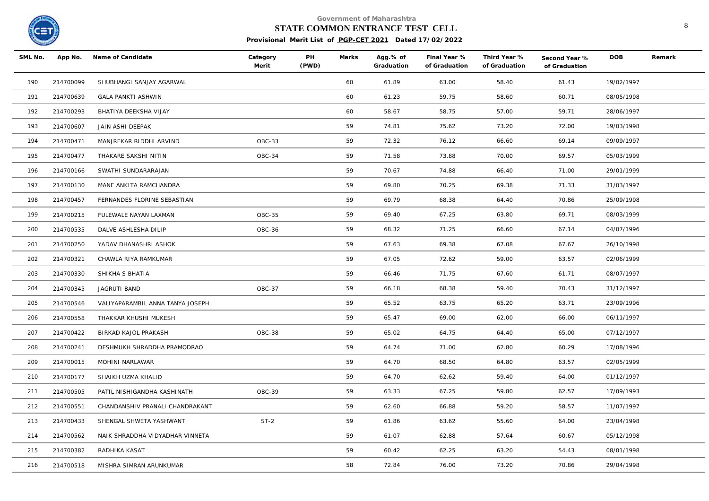

#### **STATE COMMON ENTRANCE TEST CELL** 8

| SML No. | App No.   | Name of Candidate                | Category<br>Merit | PH<br>(PWD) | Marks | Agg.% of<br>Graduation | Final Year %<br>of Graduation | Third Year %<br>of Graduation | Second Year %<br>of Graduation | <b>DOB</b> | Remark |
|---------|-----------|----------------------------------|-------------------|-------------|-------|------------------------|-------------------------------|-------------------------------|--------------------------------|------------|--------|
| 190     | 214700099 | SHUBHANGI SANJAY AGARWAL         |                   |             | 60    | 61.89                  | 63.00                         | 58.40                         | 61.43                          | 19/02/1997 |        |
| 191     | 214700639 | <b>GALA PANKTI ASHWIN</b>        |                   |             | 60    | 61.23                  | 59.75                         | 58.60                         | 60.71                          | 08/05/1998 |        |
| 192     | 214700293 | BHATIYA DEEKSHA VIJAY            |                   |             | 60    | 58.67                  | 58.75                         | 57.00                         | 59.71                          | 28/06/1997 |        |
| 193     | 214700607 | JAIN ASHI DEEPAK                 |                   |             | 59    | 74.81                  | 75.62                         | 73.20                         | 72.00                          | 19/03/1998 |        |
| 194     | 214700471 | MANJREKAR RIDDHI ARVIND          | OBC-33            |             | 59    | 72.32                  | 76.12                         | 66.60                         | 69.14                          | 09/09/1997 |        |
| 195     | 214700477 | THAKARE SAKSHI NITIN             | OBC-34            |             | 59    | 71.58                  | 73.88                         | 70.00                         | 69.57                          | 05/03/1999 |        |
| 196     | 214700166 | SWATHI SUNDARARAJAN              |                   |             | 59    | 70.67                  | 74.88                         | 66.40                         | 71.00                          | 29/01/1999 |        |
| 197     | 214700130 | MANE ANKITA RAMCHANDRA           |                   |             | 59    | 69.80                  | 70.25                         | 69.38                         | 71.33                          | 31/03/1997 |        |
| 198     | 214700457 | FERNANDES FLORINE SEBASTIAN      |                   |             | 59    | 69.79                  | 68.38                         | 64.40                         | 70.86                          | 25/09/1998 |        |
| 199     | 214700215 | FULEWALE NAYAN LAXMAN            | OBC-35            |             | 59    | 69.40                  | 67.25                         | 63.80                         | 69.71                          | 08/03/1999 |        |
| 200     | 214700535 | DALVE ASHLESHA DILIP             | OBC-36            |             | 59    | 68.32                  | 71.25                         | 66.60                         | 67.14                          | 04/07/1996 |        |
| 201     | 214700250 | YADAV DHANASHRI ASHOK            |                   |             | 59    | 67.63                  | 69.38                         | 67.08                         | 67.67                          | 26/10/1998 |        |
| 202     | 214700321 | CHAWLA RIYA RAMKUMAR             |                   |             | 59    | 67.05                  | 72.62                         | 59.00                         | 63.57                          | 02/06/1999 |        |
| 203     | 214700330 | SHIKHA S BHATIA                  |                   |             | 59    | 66.46                  | 71.75                         | 67.60                         | 61.71                          | 08/07/1997 |        |
| 204     | 214700345 | JAGRUTI BAND                     | OBC-37            |             | 59    | 66.18                  | 68.38                         | 59.40                         | 70.43                          | 31/12/1997 |        |
| 205     | 214700546 | VALIYAPARAMBIL ANNA TANYA JOSEPH |                   |             | 59    | 65.52                  | 63.75                         | 65.20                         | 63.71                          | 23/09/1996 |        |
| 206     | 214700558 | THAKKAR KHUSHI MUKESH            |                   |             | 59    | 65.47                  | 69.00                         | 62.00                         | 66.00                          | 06/11/1997 |        |
| 207     | 214700422 | BIRKAD KAJOL PRAKASH             | OBC-38            |             | 59    | 65.02                  | 64.75                         | 64.40                         | 65.00                          | 07/12/1997 |        |
| 208     | 214700241 | DESHMUKH SHRADDHA PRAMODRAO      |                   |             | 59    | 64.74                  | 71.00                         | 62.80                         | 60.29                          | 17/08/1996 |        |
| 209     | 214700015 | MOHINI NARLAWAR                  |                   |             | 59    | 64.70                  | 68.50                         | 64.80                         | 63.57                          | 02/05/1999 |        |
| 210     | 214700177 | SHAIKH UZMA KHALID               |                   |             | 59    | 64.70                  | 62.62                         | 59.40                         | 64.00                          | 01/12/1997 |        |
| 211     | 214700505 | PATIL NISHIGANDHA KASHINATH      | OBC-39            |             | 59    | 63.33                  | 67.25                         | 59.80                         | 62.57                          | 17/09/1993 |        |
| 212     | 214700551 | CHANDANSHIV PRANALI CHANDRAKANT  |                   |             | 59    | 62.60                  | 66.88                         | 59.20                         | 58.57                          | 11/07/1997 |        |
| 213     | 214700433 | SHENGAL SHWETA YASHWANT          | $ST-2$            |             | 59    | 61.86                  | 63.62                         | 55.60                         | 64.00                          | 23/04/1998 |        |
| 214     | 214700562 | NAIK SHRADDHA VIDYADHAR VINNETA  |                   |             | 59    | 61.07                  | 62.88                         | 57.64                         | 60.67                          | 05/12/1998 |        |
| 215     | 214700382 | RADHIKA KASAT                    |                   |             | 59    | 60.42                  | 62.25                         | 63.20                         | 54.43                          | 08/01/1998 |        |
| 216     | 214700518 | MISHRA SIMRAN ARUNKUMAR          |                   |             | 58    | 72.84                  | 76.00                         | 73.20                         | 70.86                          | 29/04/1998 |        |
|         |           |                                  |                   |             |       |                        |                               |                               |                                |            |        |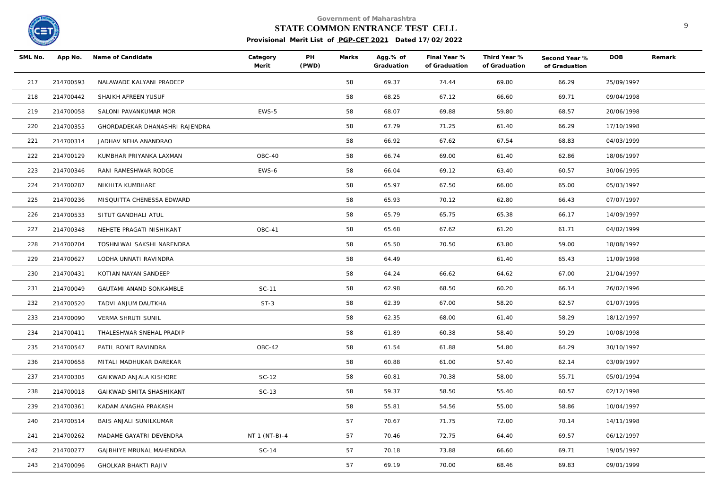

#### **STATE COMMON ENTRANCE TEST CELL** 9

| SML No. | App No.   | Name of Candidate              | Category<br>Merit | PH<br>(PWD) | Marks | Agg.% of<br>Graduation | Final Year %<br>of Graduation | Third Year %<br>of Graduation | Second Year %<br>of Graduation | <b>DOB</b> | Remark |
|---------|-----------|--------------------------------|-------------------|-------------|-------|------------------------|-------------------------------|-------------------------------|--------------------------------|------------|--------|
| 217     | 214700593 | NALAWADE KALYANI PRADEEP       |                   |             | 58    | 69.37                  | 74.44                         | 69.80                         | 66.29                          | 25/09/1997 |        |
| 218     | 214700442 | SHAIKH AFREEN YUSUF            |                   |             | 58    | 68.25                  | 67.12                         | 66.60                         | 69.71                          | 09/04/1998 |        |
| 219     | 214700058 | SALONI PAVANKUMAR MOR          | EWS-5             |             | 58    | 68.07                  | 69.88                         | 59.80                         | 68.57                          | 20/06/1998 |        |
| 220     | 214700355 | GHORDADEKAR DHANASHRI RAJENDRA |                   |             | 58    | 67.79                  | 71.25                         | 61.40                         | 66.29                          | 17/10/1998 |        |
| 221     | 214700314 | JADHAV NEHA ANANDRAO           |                   |             | 58    | 66.92                  | 67.62                         | 67.54                         | 68.83                          | 04/03/1999 |        |
| 222     | 214700129 | KUMBHAR PRIYANKA LAXMAN        | OBC-40            |             | 58    | 66.74                  | 69.00                         | 61.40                         | 62.86                          | 18/06/1997 |        |
| 223     | 214700346 | RANI RAMESHWAR RODGE           | EWS-6             |             | 58    | 66.04                  | 69.12                         | 63.40                         | 60.57                          | 30/06/1995 |        |
| 224     | 214700287 | NIKHITA KUMBHARE               |                   |             | 58    | 65.97                  | 67.50                         | 66.00                         | 65.00                          | 05/03/1997 |        |
| 225     | 214700236 | MISQUITTA CHENESSA EDWARD      |                   |             | 58    | 65.93                  | 70.12                         | 62.80                         | 66.43                          | 07/07/1997 |        |
| 226     | 214700533 | SITUT GANDHALI ATUL            |                   |             | 58    | 65.79                  | 65.75                         | 65.38                         | 66.17                          | 14/09/1997 |        |
| 227     | 214700348 | NEHETE PRAGATI NISHIKANT       | OBC-41            |             | 58    | 65.68                  | 67.62                         | 61.20                         | 61.71                          | 04/02/1999 |        |
| 228     | 214700704 | TOSHNIWAL SAKSHI NARENDRA      |                   |             | 58    | 65.50                  | 70.50                         | 63.80                         | 59.00                          | 18/08/1997 |        |
| 229     | 214700627 | LODHA UNNATI RAVINDRA          |                   |             | 58    | 64.49                  |                               | 61.40                         | 65.43                          | 11/09/1998 |        |
| 230     | 214700431 | KOTIAN NAYAN SANDEEP           |                   |             | 58    | 64.24                  | 66.62                         | 64.62                         | 67.00                          | 21/04/1997 |        |
| 231     | 214700049 | <b>GAUTAMI ANAND SONKAMBLE</b> | SC-11             |             | 58    | 62.98                  | 68.50                         | 60.20                         | 66.14                          | 26/02/1996 |        |
| 232     | 214700520 | TADVI ANJUM DAUTKHA            | $ST-3$            |             | 58    | 62.39                  | 67.00                         | 58.20                         | 62.57                          | 01/07/1995 |        |
| 233     | 214700090 | VERMA SHRUTI SUNIL             |                   |             | 58    | 62.35                  | 68.00                         | 61.40                         | 58.29                          | 18/12/1997 |        |
| 234     | 214700411 | THALESHWAR SNEHAL PRADIP       |                   |             | 58    | 61.89                  | 60.38                         | 58.40                         | 59.29                          | 10/08/1998 |        |
| 235     | 214700547 | PATIL RONIT RAVINDRA           | OBC-42            |             | 58    | 61.54                  | 61.88                         | 54.80                         | 64.29                          | 30/10/1997 |        |
| 236     | 214700658 | MITALI MADHUKAR DAREKAR        |                   |             | 58    | 60.88                  | 61.00                         | 57.40                         | 62.14                          | 03/09/1997 |        |
| 237     | 214700305 | GAIKWAD ANJALA KISHORE         | $SC-12$           |             | 58    | 60.81                  | 70.38                         | 58.00                         | 55.71                          | 05/01/1994 |        |
| 238     | 214700018 | GAIKWAD SMITA SHASHIKANT       | $SC-13$           |             | 58    | 59.37                  | 58.50                         | 55.40                         | 60.57                          | 02/12/1998 |        |
| 239     | 214700361 | KADAM ANAGHA PRAKASH           |                   |             | 58    | 55.81                  | 54.56                         | 55.00                         | 58.86                          | 10/04/1997 |        |
| 240     | 214700514 | BAIS ANJALI SUNILKUMAR         |                   |             | 57    | 70.67                  | 71.75                         | 72.00                         | 70.14                          | 14/11/1998 |        |
| 241     | 214700262 | MADAME GAYATRI DEVENDRA        | NT 1 (NT-B)-4     |             | 57    | 70.46                  | 72.75                         | 64.40                         | 69.57                          | 06/12/1997 |        |
| 242     | 214700277 | GAJBHIYE MRUNAL MAHENDRA       | $SC-14$           |             | 57    | 70.18                  | 73.88                         | 66.60                         | 69.71                          | 19/05/1997 |        |
| 243     | 214700096 | <b>GHOLKAR BHAKTI RAJIV</b>    |                   |             | 57    | 69.19                  | 70.00                         | 68.46                         | 69.83                          | 09/01/1999 |        |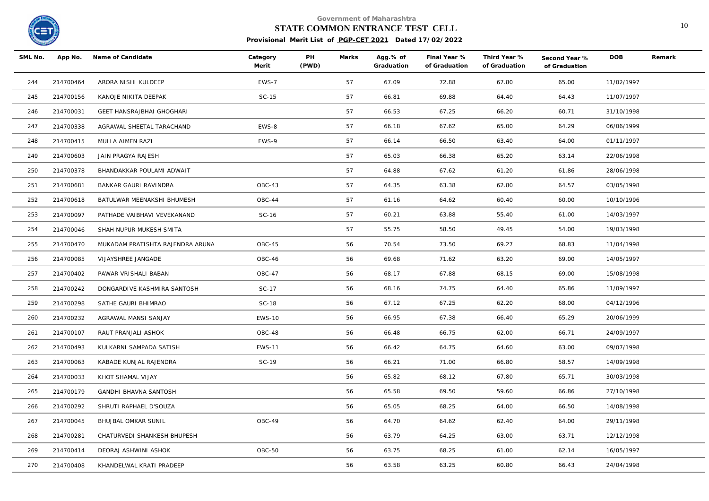

# **STATE COMMON ENTRANCE TEST CELL** 10

| SML No. |           | App No. Name of Candidate        | Category<br>Merit | PH<br>(PWD) | Marks | Agg.% of<br>Graduation | Final Year %<br>of Graduation | Third Year %<br>of Graduation | Second Year %<br>of Graduation | <b>DOB</b> | Remark |
|---------|-----------|----------------------------------|-------------------|-------------|-------|------------------------|-------------------------------|-------------------------------|--------------------------------|------------|--------|
| 244     | 214700464 | ARORA NISHI KULDEEP              | EWS-7             |             | 57    | 67.09                  | 72.88                         | 67.80                         | 65.00                          | 11/02/1997 |        |
| 245     | 214700156 | KANOJE NIKITA DEEPAK             | $SC-15$           |             | 57    | 66.81                  | 69.88                         | 64.40                         | 64.43                          | 11/07/1997 |        |
| 246     | 214700031 | GEET HANSRAJBHAI GHOGHARI        |                   |             | 57    | 66.53                  | 67.25                         | 66.20                         | 60.71                          | 31/10/1998 |        |
| 247     | 214700338 | AGRAWAL SHEETAL TARACHAND        | EWS-8             |             | 57    | 66.18                  | 67.62                         | 65.00                         | 64.29                          | 06/06/1999 |        |
| 248     | 214700415 | MULLA AIMEN RAZI                 | EWS-9             |             | 57    | 66.14                  | 66.50                         | 63.40                         | 64.00                          | 01/11/1997 |        |
| 249     | 214700603 | JAIN PRAGYA RAJESH               |                   |             | 57    | 65.03                  | 66.38                         | 65.20                         | 63.14                          | 22/06/1998 |        |
| 250     | 214700378 | BHANDAKKAR POULAMI ADWAIT        |                   |             | 57    | 64.88                  | 67.62                         | 61.20                         | 61.86                          | 28/06/1998 |        |
| 251     | 214700681 | BANKAR GAURI RAVINDRA            | OBC-43            |             | 57    | 64.35                  | 63.38                         | 62.80                         | 64.57                          | 03/05/1998 |        |
| 252     | 214700618 | BATULWAR MEENAKSHI BHUMESH       | OBC-44            |             | 57    | 61.16                  | 64.62                         | 60.40                         | 60.00                          | 10/10/1996 |        |
| 253     | 214700097 | PATHADE VAIBHAVI VEVEKANAND      | SC-16             |             | 57    | 60.21                  | 63.88                         | 55.40                         | 61.00                          | 14/03/1997 |        |
| 254     | 214700046 | SHAH NUPUR MUKESH SMITA          |                   |             | 57    | 55.75                  | 58.50                         | 49.45                         | 54.00                          | 19/03/1998 |        |
| 255     | 214700470 | MUKADAM PRATISHTA RAJENDRA ARUNA | OBC-45            |             | 56    | 70.54                  | 73.50                         | 69.27                         | 68.83                          | 11/04/1998 |        |
| 256     | 214700085 | VIJAYSHREE JANGADE               | OBC-46            |             | 56    | 69.68                  | 71.62                         | 63.20                         | 69.00                          | 14/05/1997 |        |
| 257     | 214700402 | PAWAR VRISHALI BABAN             | OBC-47            |             | 56    | 68.17                  | 67.88                         | 68.15                         | 69.00                          | 15/08/1998 |        |
| 258     | 214700242 | DONGARDIVE KASHMIRA SANTOSH      | SC-17             |             | 56    | 68.16                  | 74.75                         | 64.40                         | 65.86                          | 11/09/1997 |        |
| 259     | 214700298 | SATHE GAURI BHIMRAO              | SC-18             |             | 56    | 67.12                  | 67.25                         | 62.20                         | 68.00                          | 04/12/1996 |        |
| 260     | 214700232 | AGRAWAL MANSI SANJAY             | <b>EWS-10</b>     |             | 56    | 66.95                  | 67.38                         | 66.40                         | 65.29                          | 20/06/1999 |        |
| 261     | 214700107 | RAUT PRANJALI ASHOK              | OBC-48            |             | 56    | 66.48                  | 66.75                         | 62.00                         | 66.71                          | 24/09/1997 |        |
| 262     | 214700493 | KULKARNI SAMPADA SATISH          | <b>EWS-11</b>     |             | 56    | 66.42                  | 64.75                         | 64.60                         | 63.00                          | 09/07/1998 |        |
| 263     | 214700063 | KABADE KUNJAL RAJENDRA           | SC-19             |             | 56    | 66.21                  | 71.00                         | 66.80                         | 58.57                          | 14/09/1998 |        |
| 264     | 214700033 | KHOT SHAMAL VIJAY                |                   |             | 56    | 65.82                  | 68.12                         | 67.80                         | 65.71                          | 30/03/1998 |        |
| 265     | 214700179 | GANDHI BHAVNA SANTOSH            |                   |             | 56    | 65.58                  | 69.50                         | 59.60                         | 66.86                          | 27/10/1998 |        |
| 266     | 214700292 | SHRUTI RAPHAEL D'SOUZA           |                   |             | 56    | 65.05                  | 68.25                         | 64.00                         | 66.50                          | 14/08/1998 |        |
| 267     | 214700045 | BHUJBAL OMKAR SUNIL              | OBC-49            |             | 56    | 64.70                  | 64.62                         | 62.40                         | 64.00                          | 29/11/1998 |        |
| 268     | 214700281 | CHATURVEDI SHANKESH BHUPESH      |                   |             | 56    | 63.79                  | 64.25                         | 63.00                         | 63.71                          | 12/12/1998 |        |
| 269     | 214700414 | DEORAJ ASHWINI ASHOK             | OBC-50            |             | 56    | 63.75                  | 68.25                         | 61.00                         | 62.14                          | 16/05/1997 |        |
| 270     | 214700408 | KHANDELWAL KRATI PRADEEP         |                   |             | 56    | 63.58                  | 63.25                         | 60.80                         | 66.43                          | 24/04/1998 |        |
|         |           |                                  |                   |             |       |                        |                               |                               |                                |            |        |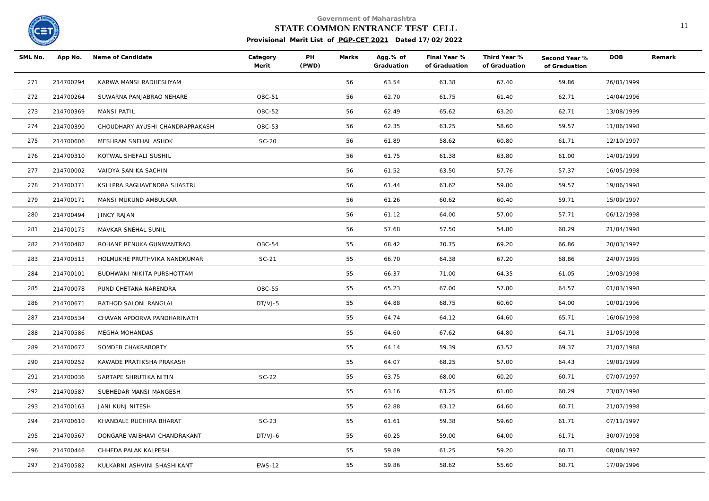

# **STATE COMMON ENTRANCE TEST CELL** 11

| SML No. |           | App No. Name of Candidate       | Category<br>Merit | PH<br>(PWD) | Marks | Agg.% of<br>Graduation | Final Year %<br>of Graduation | Third Year %<br>of Graduation | Second Year %<br>of Graduation | <b>DOB</b> | Remark |
|---------|-----------|---------------------------------|-------------------|-------------|-------|------------------------|-------------------------------|-------------------------------|--------------------------------|------------|--------|
| 271     | 214700294 | KARWA MANSI RADHESHYAM          |                   |             | 56    | 63.54                  | 63.38                         | 67.40                         | 59.86                          | 26/01/1999 |        |
| 272     | 214700264 | SUWARNA PANJABRAO NEHARE        | OBC-51            |             | 56    | 62.70                  | 61.75                         | 61.40                         | 62.71                          | 14/04/1996 |        |
| 273     | 214700369 | <b>MANSI PATIL</b>              | OBC-52            |             | 56    | 62.49                  | 65.62                         | 63.20                         | 62.71                          | 13/08/1999 |        |
| 274     | 214700390 | CHOUDHARY AYUSHI CHANDRAPRAKASH | OBC-53            |             | 56    | 62.35                  | 63.25                         | 58.60                         | 59.57                          | 11/06/1998 |        |
| 275     | 214700606 | MESHRAM SNEHAL ASHOK            | $SC-20$           |             | 56    | 61.89                  | 58.62                         | 60.80                         | 61.71                          | 12/10/1997 |        |
| 276     | 214700310 | KOTWAL SHEFALI SUSHIL           |                   |             | 56    | 61.75                  | 61.38                         | 63.80                         | 61.00                          | 14/01/1999 |        |
| 277     | 214700002 | VAIDYA SANIKA SACHIN            |                   |             | 56    | 61.52                  | 63.50                         | 57.76                         | 57.37                          | 16/05/1998 |        |
| 278     | 214700371 | KSHIPRA RAGHAVENDRA SHASTRI     |                   |             | 56    | 61.44                  | 63.62                         | 59.80                         | 59.57                          | 19/06/1998 |        |
| 279     | 214700171 | MANSI MUKUND AMBULKAR           |                   |             | 56    | 61.26                  | 60.62                         | 60.40                         | 59.71                          | 15/09/1997 |        |
| 280     | 214700494 | <b>JINCY RAJAN</b>              |                   |             | 56    | 61.12                  | 64.00                         | 57.00                         | 57.71                          | 06/12/1998 |        |
| 281     | 214700175 | MAVKAR SNEHAL SUNIL             |                   |             | 56    | 57.68                  | 57.50                         | 54.80                         | 60.29                          | 21/04/1998 |        |
| 282     | 214700482 | ROHANE RENUKA GUNWANTRAO        | OBC-54            |             | 55    | 68.42                  | 70.75                         | 69.20                         | 66.86                          | 20/03/1997 |        |
| 283     | 214700515 | HOLMUKHE PRUTHVIKA NANDKUMAR    | $SC-21$           |             | 55    | 66.70                  | 64.38                         | 67.20                         | 68.86                          | 24/07/1995 |        |
| 284     | 214700101 | BUDHWANI NIKITA PURSHOTTAM      |                   |             | 55    | 66.37                  | 71.00                         | 64.35                         | 61.05                          | 19/03/1998 |        |
| 285     | 214700078 | PUND CHETANA NARENDRA           | OBC-55            |             | 55    | 65.23                  | 67.00                         | 57.80                         | 64.57                          | 01/03/1998 |        |
| 286     | 214700671 | RATHOD SALONI RANGLAL           | DT/VJ-5           |             | 55    | 64.88                  | 68.75                         | 60.60                         | 64.00                          | 10/01/1996 |        |
| 287     | 214700534 | CHAVAN APOORVA PANDHARINATH     |                   |             | 55    | 64.74                  | 64.12                         | 64.60                         | 65.71                          | 16/06/1998 |        |
| 288     | 214700586 | MEGHA MOHANDAS                  |                   |             | 55    | 64.60                  | 67.62                         | 64.80                         | 64.71                          | 31/05/1998 |        |
| 289     | 214700672 | SOMDEB CHAKRABORTY              |                   |             | 55    | 64.14                  | 59.39                         | 63.52                         | 69.37                          | 21/07/1988 |        |
| 290     | 214700252 | KAWADE PRATIKSHA PRAKASH        |                   |             | 55    | 64.07                  | 68.25                         | 57.00                         | 64.43                          | 19/01/1999 |        |
| 291     | 214700036 | SARTAPE SHRUTIKA NITIN          | $SC-22$           |             | 55    | 63.75                  | 68.00                         | 60.20                         | 60.71                          | 07/07/1997 |        |
| 292     | 214700587 | SUBHEDAR MANSI MANGESH          |                   |             | 55    | 63.16                  | 63.25                         | 61.00                         | 60.29                          | 23/07/1998 |        |
| 293     | 214700163 | JANI KUNJ NITESH                |                   |             | 55    | 62.88                  | 63.12                         | 64.60                         | 60.71                          | 21/07/1998 |        |
| 294     | 214700610 | KHANDALE RUCHIRA BHARAT         | $SC-23$           |             | 55    | 61.61                  | 59.38                         | 59.60                         | 61.71                          | 07/11/1997 |        |
| 295     | 214700567 | DONGARE VAIBHAVI CHANDRAKANT    | DT/VJ-6           |             | 55    | 60.25                  | 59.00                         | 64.00                         | 61.71                          | 30/07/1998 |        |
| 296     | 214700446 | CHHEDA PALAK KALPESH            |                   |             | 55    | 59.89                  | 61.25                         | 59.20                         | 60.71                          | 08/08/1997 |        |
| 297     | 214700582 | KULKARNI ASHVINI SHASHIKANT     | <b>EWS-12</b>     |             | 55    | 59.86                  | 58.62                         | 55.60                         | 60.71                          | 17/09/1996 |        |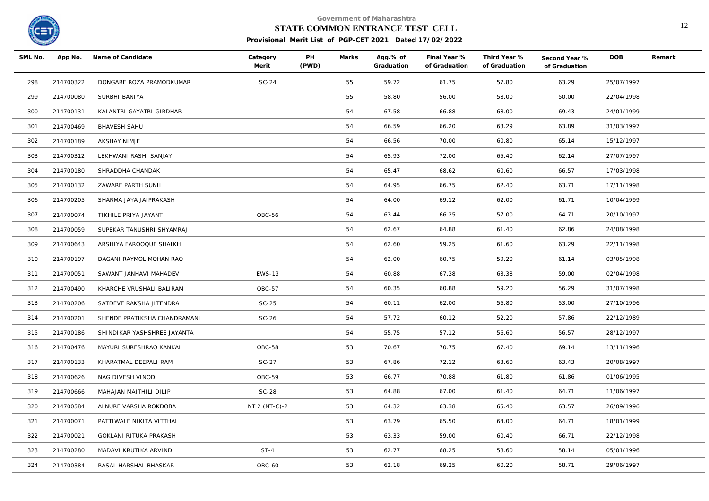

# **STATE COMMON ENTRANCE TEST CELL** 12

| SML No. | App No.   | Name of Candidate            | Category<br>Merit | PH<br>(PWD) | Marks | Agg.% of<br>Graduation | Final Year %<br>of Graduation | Third Year %<br>of Graduation | Second Year %<br>of Graduation | <b>DOB</b> | Remark |
|---------|-----------|------------------------------|-------------------|-------------|-------|------------------------|-------------------------------|-------------------------------|--------------------------------|------------|--------|
| 298     | 214700322 | DONGARE ROZA PRAMODKUMAR     | $SC-24$           |             | 55    | 59.72                  | 61.75                         | 57.80                         | 63.29                          | 25/07/1997 |        |
| 299     | 214700080 | SURBHI BANIYA                |                   |             | 55    | 58.80                  | 56.00                         | 58.00                         | 50.00                          | 22/04/1998 |        |
| 300     | 214700131 | KALANTRI GAYATRI GIRDHAR     |                   |             | 54    | 67.58                  | 66.88                         | 68.00                         | 69.43                          | 24/01/1999 |        |
| 301     | 214700469 | <b>BHAVESH SAHU</b>          |                   |             | 54    | 66.59                  | 66.20                         | 63.29                         | 63.89                          | 31/03/1997 |        |
| 302     | 214700189 | AKSHAY NIMJE                 |                   |             | 54    | 66.56                  | 70.00                         | 60.80                         | 65.14                          | 15/12/1997 |        |
| 303     | 214700312 | LEKHWANI RASHI SANJAY        |                   |             | 54    | 65.93                  | 72.00                         | 65.40                         | 62.14                          | 27/07/1997 |        |
| 304     | 214700180 | SHRADDHA CHANDAK             |                   |             | 54    | 65.47                  | 68.62                         | 60.60                         | 66.57                          | 17/03/1998 |        |
| 305     | 214700132 | ZAWARE PARTH SUNIL           |                   |             | 54    | 64.95                  | 66.75                         | 62.40                         | 63.71                          | 17/11/1998 |        |
| 306     | 214700205 | SHARMA JAYA JAIPRAKASH       |                   |             | 54    | 64.00                  | 69.12                         | 62.00                         | 61.71                          | 10/04/1999 |        |
| 307     | 214700074 | TIKHILE PRIYA JAYANT         | OBC-56            |             | 54    | 63.44                  | 66.25                         | 57.00                         | 64.71                          | 20/10/1997 |        |
| 308     | 214700059 | SUPEKAR TANUSHRI SHYAMRAJ    |                   |             | 54    | 62.67                  | 64.88                         | 61.40                         | 62.86                          | 24/08/1998 |        |
| 309     | 214700643 | ARSHIYA FAROOQUE SHAIKH      |                   |             | 54    | 62.60                  | 59.25                         | 61.60                         | 63.29                          | 22/11/1998 |        |
| 310     | 214700197 | DAGANI RAYMOL MOHAN RAO      |                   |             | 54    | 62.00                  | 60.75                         | 59.20                         | 61.14                          | 03/05/1998 |        |
| 311     | 214700051 | SAWANT JANHAVI MAHADEV       | <b>EWS-13</b>     |             | 54    | 60.88                  | 67.38                         | 63.38                         | 59.00                          | 02/04/1998 |        |
| 312     | 214700490 | KHARCHE VRUSHALI BALIRAM     | <b>OBC-57</b>     |             | 54    | 60.35                  | 60.88                         | 59.20                         | 56.29                          | 31/07/1998 |        |
| 313     | 214700206 | SATDEVE RAKSHA JITENDRA      | $SC-25$           |             | 54    | 60.11                  | 62.00                         | 56.80                         | 53.00                          | 27/10/1996 |        |
| 314     | 214700201 | SHENDE PRATIKSHA CHANDRAMANI | $SC-26$           |             | 54    | 57.72                  | 60.12                         | 52.20                         | 57.86                          | 22/12/1989 |        |
| 315     | 214700186 | SHINDIKAR YASHSHREE JAYANTA  |                   |             | 54    | 55.75                  | 57.12                         | 56.60                         | 56.57                          | 28/12/1997 |        |
| 316     | 214700476 | MAYURI SURESHRAO KANKAL      | OBC-58            |             | 53    | 70.67                  | 70.75                         | 67.40                         | 69.14                          | 13/11/1996 |        |
| 317     | 214700133 | KHARATMAL DEEPALI RAM        | $SC-27$           |             | 53    | 67.86                  | 72.12                         | 63.60                         | 63.43                          | 20/08/1997 |        |
| 318     | 214700626 | NAG DIVESH VINOD             | OBC-59            |             | 53    | 66.77                  | 70.88                         | 61.80                         | 61.86                          | 01/06/1995 |        |
| 319     | 214700666 | MAHAJAN MAITHILI DILIP       | $SC-28$           |             | 53    | 64.88                  | 67.00                         | 61.40                         | 64.71                          | 11/06/1997 |        |
| 320     | 214700584 | ALNURE VARSHA ROKDOBA        | NT 2 (NT-C)-2     |             | 53    | 64.32                  | 63.38                         | 65.40                         | 63.57                          | 26/09/1996 |        |
| 321     | 214700071 | PATTIWALE NIKITA VITTHAL     |                   |             | 53    | 63.79                  | 65.50                         | 64.00                         | 64.71                          | 18/01/1999 |        |
| 322     | 214700021 | GOKLANI RITUKA PRAKASH       |                   |             | 53    | 63.33                  | 59.00                         | 60.40                         | 66.71                          | 22/12/1998 |        |
| 323     | 214700280 | MADAVI KRUTIKA ARVIND        | $ST-4$            |             | 53    | 62.77                  | 68.25                         | 58.60                         | 58.14                          | 05/01/1996 |        |
| 324     | 214700384 | RASAL HARSHAL BHASKAR        | OBC-60            |             | 53    | 62.18                  | 69.25                         | 60.20                         | 58.71                          | 29/06/1997 |        |
|         |           |                              |                   |             |       |                        |                               |                               |                                |            |        |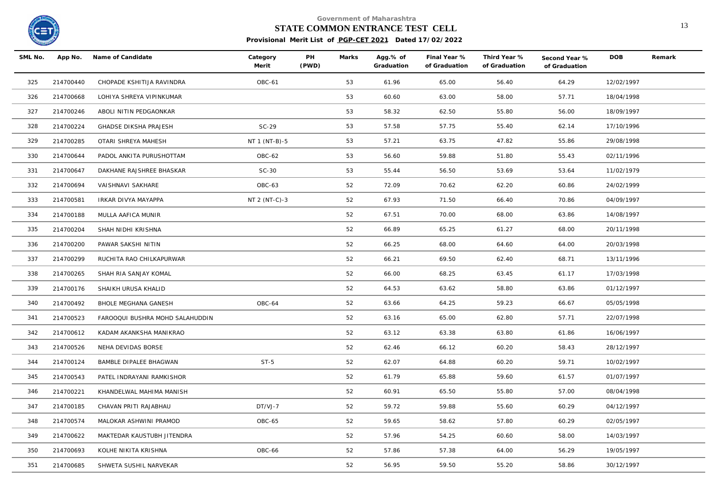

# **STATE COMMON ENTRANCE TEST CELL** 13

| SML No. | App No.   | Name of Candidate               | Category<br>Merit | PH<br>(PWD) | Marks | Agg.% of<br>Graduation | Final Year %<br>of Graduation | Third Year %<br>of Graduation | Second Year %<br>of Graduation | <b>DOB</b> | Remark |
|---------|-----------|---------------------------------|-------------------|-------------|-------|------------------------|-------------------------------|-------------------------------|--------------------------------|------------|--------|
| 325     | 214700440 | CHOPADE KSHITIJA RAVINDRA       | OBC-61            |             | 53    | 61.96                  | 65.00                         | 56.40                         | 64.29                          | 12/02/1997 |        |
| 326     | 214700668 | LOHIYA SHREYA VIPINKUMAR        |                   |             | 53    | 60.60                  | 63.00                         | 58.00                         | 57.71                          | 18/04/1998 |        |
| 327     | 214700246 | ABOLI NITIN PEDGAONKAR          |                   |             | 53    | 58.32                  | 62.50                         | 55.80                         | 56.00                          | 18/09/1997 |        |
| 328     | 214700224 | <b>GHADSE DIKSHA PRAJESH</b>    | $SC-29$           |             | 53    | 57.58                  | 57.75                         | 55.40                         | 62.14                          | 17/10/1996 |        |
| 329     | 214700285 | OTARI SHREYA MAHESH             | NT 1 (NT-B)-5     |             | 53    | 57.21                  | 63.75                         | 47.82                         | 55.86                          | 29/08/1998 |        |
| 330     | 214700644 | PADOL ANKITA PURUSHOTTAM        | OBC-62            |             | 53    | 56.60                  | 59.88                         | 51.80                         | 55.43                          | 02/11/1996 |        |
| 331     | 214700647 | DAKHANE RAJSHREE BHASKAR        | $SC-30$           |             | 53    | 55.44                  | 56.50                         | 53.69                         | 53.64                          | 11/02/1979 |        |
| 332     | 214700694 | VAISHNAVI SAKHARE               | OBC-63            |             | 52    | 72.09                  | 70.62                         | 62.20                         | 60.86                          | 24/02/1999 |        |
| 333     | 214700581 | IRKAR DIVYA MAYAPPA             | NT 2 (NT-C)-3     |             | 52    | 67.93                  | 71.50                         | 66.40                         | 70.86                          | 04/09/1997 |        |
| 334     | 214700188 | MULLA AAFICA MUNIR              |                   |             | 52    | 67.51                  | 70.00                         | 68.00                         | 63.86                          | 14/08/1997 |        |
| 335     | 214700204 | SHAH NIDHI KRISHNA              |                   |             | 52    | 66.89                  | 65.25                         | 61.27                         | 68.00                          | 20/11/1998 |        |
| 336     | 214700200 | PAWAR SAKSHI NITIN              |                   |             | 52    | 66.25                  | 68.00                         | 64.60                         | 64.00                          | 20/03/1998 |        |
| 337     | 214700299 | RUCHITA RAO CHILKAPURWAR        |                   |             | 52    | 66.21                  | 69.50                         | 62.40                         | 68.71                          | 13/11/1996 |        |
| 338     | 214700265 | SHAH RIA SANJAY KOMAL           |                   |             | 52    | 66.00                  | 68.25                         | 63.45                         | 61.17                          | 17/03/1998 |        |
| 339     | 214700176 | SHAIKH URUSA KHALID             |                   |             | 52    | 64.53                  | 63.62                         | 58.80                         | 63.86                          | 01/12/1997 |        |
| 340     | 214700492 | BHOLE MEGHANA GANESH            | OBC-64            |             | 52    | 63.66                  | 64.25                         | 59.23                         | 66.67                          | 05/05/1998 |        |
| 341     | 214700523 | FAROOQUI BUSHRA MOHD SALAHUDDIN |                   |             | 52    | 63.16                  | 65.00                         | 62.80                         | 57.71                          | 22/07/1998 |        |
| 342     | 214700612 | KADAM AKANKSHA MANIKRAO         |                   |             | 52    | 63.12                  | 63.38                         | 63.80                         | 61.86                          | 16/06/1997 |        |
| 343     | 214700526 | NEHA DEVIDAS BORSE              |                   |             | 52    | 62.46                  | 66.12                         | 60.20                         | 58.43                          | 28/12/1997 |        |
| 344     | 214700124 | BAMBLE DIPALEE BHAGWAN          | $ST-5$            |             | 52    | 62.07                  | 64.88                         | 60.20                         | 59.71                          | 10/02/1997 |        |
| 345     | 214700543 | PATEL INDRAYANI RAMKISHOR       |                   |             | 52    | 61.79                  | 65.88                         | 59.60                         | 61.57                          | 01/07/1997 |        |
| 346     | 214700221 | KHANDELWAL MAHIMA MANISH        |                   |             | 52    | 60.91                  | 65.50                         | 55.80                         | 57.00                          | 08/04/1998 |        |
| 347     | 214700185 | CHAVAN PRITI RAJABHAU           | DT/VJ-7           |             | 52    | 59.72                  | 59.88                         | 55.60                         | 60.29                          | 04/12/1997 |        |
| 348     | 214700574 | MALOKAR ASHWINI PRAMOD          | OBC-65            |             | 52    | 59.65                  | 58.62                         | 57.80                         | 60.29                          | 02/05/1997 |        |
| 349     | 214700622 | MAKTEDAR KAUSTUBH JITENDRA      |                   |             | 52    | 57.96                  | 54.25                         | 60.60                         | 58.00                          | 14/03/1997 |        |
| 350     | 214700693 | KOLHE NIKITA KRISHNA            | OBC-66            |             | 52    | 57.86                  | 57.38                         | 64.00                         | 56.29                          | 19/05/1997 |        |
| 351     | 214700685 | SHWETA SUSHIL NARVEKAR          |                   |             | 52    | 56.95                  | 59.50                         | 55.20                         | 58.86                          | 30/12/1997 |        |
|         |           |                                 |                   |             |       |                        |                               |                               |                                |            |        |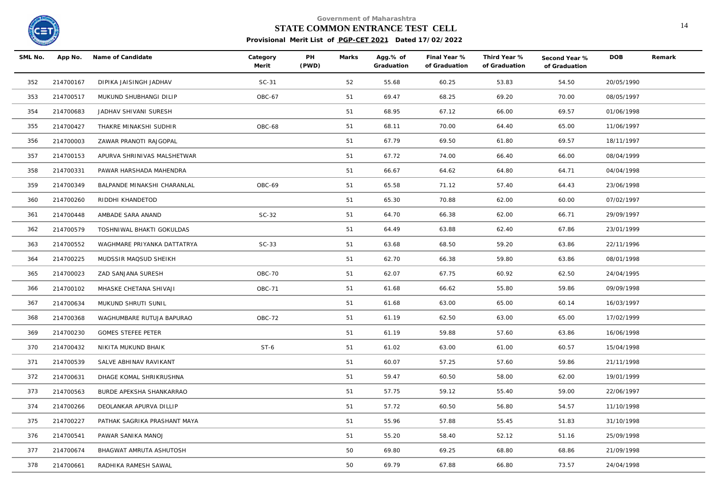

# **STATE COMMON ENTRANCE TEST CELL** 14

| SML No. | App No.   | Name of Candidate            | Category<br>Merit | PH<br>(PWD) | Marks | Agg.% of<br>Graduation | Final Year %<br>of Graduation | Third Year %<br>of Graduation | Second Year %<br>of Graduation | <b>DOB</b> | Remark |
|---------|-----------|------------------------------|-------------------|-------------|-------|------------------------|-------------------------------|-------------------------------|--------------------------------|------------|--------|
| 352     | 214700167 | DIPIKA JAISINGH JADHAV       | $SC-31$           |             | 52    | 55.68                  | 60.25                         | 53.83                         | 54.50                          | 20/05/1990 |        |
| 353     | 214700517 | MUKUND SHUBHANGI DILIP       | OBC-67            |             | 51    | 69.47                  | 68.25                         | 69.20                         | 70.00                          | 08/05/1997 |        |
| 354     | 214700683 | JADHAV SHIVANI SURESH        |                   |             | 51    | 68.95                  | 67.12                         | 66.00                         | 69.57                          | 01/06/1998 |        |
| 355     | 214700427 | THAKRE MINAKSHI SUDHIR       | OBC-68            |             | 51    | 68.11                  | 70.00                         | 64.40                         | 65.00                          | 11/06/1997 |        |
| 356     | 214700003 | ZAWAR PRANOTI RAJGOPAL       |                   |             | 51    | 67.79                  | 69.50                         | 61.80                         | 69.57                          | 18/11/1997 |        |
| 357     | 214700153 | APURVA SHRINIVAS MALSHETWAR  |                   |             | 51    | 67.72                  | 74.00                         | 66.40                         | 66.00                          | 08/04/1999 |        |
| 358     | 214700331 | PAWAR HARSHADA MAHENDRA      |                   |             | 51    | 66.67                  | 64.62                         | 64.80                         | 64.71                          | 04/04/1998 |        |
| 359     | 214700349 | BALPANDE MINAKSHI CHARANLAL  | OBC-69            |             | 51    | 65.58                  | 71.12                         | 57.40                         | 64.43                          | 23/06/1998 |        |
| 360     | 214700260 | RIDDHI KHANDETOD             |                   |             | 51    | 65.30                  | 70.88                         | 62.00                         | 60.00                          | 07/02/1997 |        |
| 361     | 214700448 | AMBADE SARA ANAND            | $SC-32$           |             | 51    | 64.70                  | 66.38                         | 62.00                         | 66.71                          | 29/09/1997 |        |
| 362     | 214700579 | TOSHNIWAL BHAKTI GOKULDAS    |                   |             | 51    | 64.49                  | 63.88                         | 62.40                         | 67.86                          | 23/01/1999 |        |
| 363     | 214700552 | WAGHMARE PRIYANKA DATTATRYA  | $SC-33$           |             | 51    | 63.68                  | 68.50                         | 59.20                         | 63.86                          | 22/11/1996 |        |
| 364     | 214700225 | MUDSSIR MAQSUD SHEIKH        |                   |             | 51    | 62.70                  | 66.38                         | 59.80                         | 63.86                          | 08/01/1998 |        |
| 365     | 214700023 | ZAD SANJANA SURESH           | OBC-70            |             | 51    | 62.07                  | 67.75                         | 60.92                         | 62.50                          | 24/04/1995 |        |
| 366     | 214700102 | MHASKE CHETANA SHIVAJI       | <b>OBC-71</b>     |             | 51    | 61.68                  | 66.62                         | 55.80                         | 59.86                          | 09/09/1998 |        |
| 367     | 214700634 | MUKUND SHRUTI SUNIL          |                   |             | 51    | 61.68                  | 63.00                         | 65.00                         | 60.14                          | 16/03/1997 |        |
| 368     | 214700368 | WAGHUMBARE RUTUJA BAPURAO    | OBC-72            |             | 51    | 61.19                  | 62.50                         | 63.00                         | 65.00                          | 17/02/1999 |        |
| 369     | 214700230 | <b>GOMES STEFEE PETER</b>    |                   |             | 51    | 61.19                  | 59.88                         | 57.60                         | 63.86                          | 16/06/1998 |        |
| 370     | 214700432 | NIKITA MUKUND BHAIK          | $ST-6$            |             | 51    | 61.02                  | 63.00                         | 61.00                         | 60.57                          | 15/04/1998 |        |
| 371     | 214700539 | SALVE ABHINAV RAVIKANT       |                   |             | 51    | 60.07                  | 57.25                         | 57.60                         | 59.86                          | 21/11/1998 |        |
| 372     | 214700631 | DHAGE KOMAL SHRIKRUSHNA      |                   |             | 51    | 59.47                  | 60.50                         | 58.00                         | 62.00                          | 19/01/1999 |        |
| 373     | 214700563 | BURDE APEKSHA SHANKARRAO     |                   |             | 51    | 57.75                  | 59.12                         | 55.40                         | 59.00                          | 22/06/1997 |        |
| 374     | 214700266 | DEOLANKAR APURVA DILLIP      |                   |             | 51    | 57.72                  | 60.50                         | 56.80                         | 54.57                          | 11/10/1998 |        |
| 375     | 214700227 | PATHAK SAGRIKA PRASHANT MAYA |                   |             | 51    | 55.96                  | 57.88                         | 55.45                         | 51.83                          | 31/10/1998 |        |
| 376     | 214700541 | PAWAR SANIKA MANOJ           |                   |             | 51    | 55.20                  | 58.40                         | 52.12                         | 51.16                          | 25/09/1998 |        |
| 377     | 214700674 | BHAGWAT AMRUTA ASHUTOSH      |                   |             | 50    | 69.80                  | 69.25                         | 68.80                         | 68.86                          | 21/09/1998 |        |
| 378     | 214700661 | RADHIKA RAMESH SAWAL         |                   |             | 50    | 69.79                  | 67.88                         | 66.80                         | 73.57                          | 24/04/1998 |        |
|         |           |                              |                   |             |       |                        |                               |                               |                                |            |        |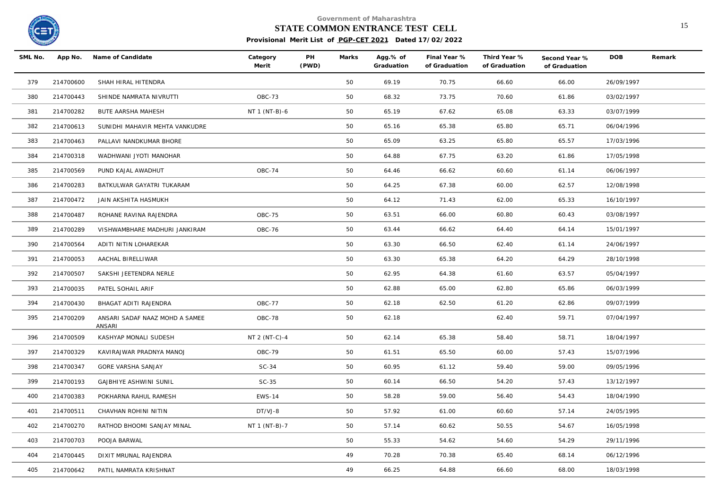

# **STATE COMMON ENTRANCE TEST CELL** 15

| SML No. |           | App No. Name of Candidate                | Category<br>Merit | PH<br>(PWD) | Marks | Agg.% of<br>Graduation | Final Year %<br>of Graduation | Third Year %<br>of Graduation | Second Year %<br>of Graduation | <b>DOB</b> | Remark |
|---------|-----------|------------------------------------------|-------------------|-------------|-------|------------------------|-------------------------------|-------------------------------|--------------------------------|------------|--------|
| 379     | 214700600 | SHAH HIRAL HITENDRA                      |                   |             | 50    | 69.19                  | 70.75                         | 66.60                         | 66.00                          | 26/09/1997 |        |
| 380     | 214700443 | SHINDE NAMRATA NIVRUTTI                  | OBC-73            |             | 50    | 68.32                  | 73.75                         | 70.60                         | 61.86                          | 03/02/1997 |        |
| 381     | 214700282 | <b>BUTE AARSHA MAHESH</b>                | NT 1 (NT-B)-6     |             | 50    | 65.19                  | 67.62                         | 65.08                         | 63.33                          | 03/07/1999 |        |
| 382     | 214700613 | SUNIDHI MAHAVIR MEHTA VANKUDRE           |                   |             | 50    | 65.16                  | 65.38                         | 65.80                         | 65.71                          | 06/04/1996 |        |
| 383     | 214700463 | PALLAVI NANDKUMAR BHORE                  |                   |             | 50    | 65.09                  | 63.25                         | 65.80                         | 65.57                          | 17/03/1996 |        |
| 384     | 214700318 | WADHWANI JYOTI MANOHAR                   |                   |             | 50    | 64.88                  | 67.75                         | 63.20                         | 61.86                          | 17/05/1998 |        |
| 385     | 214700569 | PUND KAJAL AWADHUT                       | <b>OBC-74</b>     |             | 50    | 64.46                  | 66.62                         | 60.60                         | 61.14                          | 06/06/1997 |        |
| 386     | 214700283 | BATKULWAR GAYATRI TUKARAM                |                   |             | 50    | 64.25                  | 67.38                         | 60.00                         | 62.57                          | 12/08/1998 |        |
| 387     | 214700472 | JAIN AKSHITA HASMUKH                     |                   |             | 50    | 64.12                  | 71.43                         | 62.00                         | 65.33                          | 16/10/1997 |        |
| 388     | 214700487 | ROHANE RAVINA RAJENDRA                   | OBC-75            |             | 50    | 63.51                  | 66.00                         | 60.80                         | 60.43                          | 03/08/1997 |        |
| 389     | 214700289 | VISHWAMBHARE MADHURI JANKIRAM            | OBC-76            |             | 50    | 63.44                  | 66.62                         | 64.40                         | 64.14                          | 15/01/1997 |        |
| 390     | 214700564 | ADITI NITIN LOHAREKAR                    |                   |             | 50    | 63.30                  | 66.50                         | 62.40                         | 61.14                          | 24/06/1997 |        |
| 391     | 214700053 | AACHAL BIRELLIWAR                        |                   |             | 50    | 63.30                  | 65.38                         | 64.20                         | 64.29                          | 28/10/1998 |        |
| 392     | 214700507 | SAKSHI JEETENDRA NERLE                   |                   |             | 50    | 62.95                  | 64.38                         | 61.60                         | 63.57                          | 05/04/1997 |        |
| 393     | 214700035 | PATEL SOHAIL ARIF                        |                   |             | 50    | 62.88                  | 65.00                         | 62.80                         | 65.86                          | 06/03/1999 |        |
| 394     | 214700430 | BHAGAT ADITI RAJENDRA                    | <b>OBC-77</b>     |             | 50    | 62.18                  | 62.50                         | 61.20                         | 62.86                          | 09/07/1999 |        |
| 395     | 214700209 | ANSARI SADAF NAAZ MOHD A SAMEE<br>ANSARI | OBC-78            |             | 50    | 62.18                  |                               | 62.40                         | 59.71                          | 07/04/1997 |        |
| 396     | 214700509 | KASHYAP MONALI SUDESH                    | NT 2 (NT-C)-4     |             | 50    | 62.14                  | 65.38                         | 58.40                         | 58.71                          | 18/04/1997 |        |
| 397     | 214700329 | KAVIRAJWAR PRADNYA MANOJ                 | OBC-79            |             | 50    | 61.51                  | 65.50                         | 60.00                         | 57.43                          | 15/07/1996 |        |
| 398     | 214700347 | GORE VARSHA SANJAY                       | $SC-34$           |             | 50    | 60.95                  | 61.12                         | 59.40                         | 59.00                          | 09/05/1996 |        |
| 399     | 214700193 | <b>GAJBHIYE ASHWINI SUNIL</b>            | $SC-35$           |             | 50    | 60.14                  | 66.50                         | 54.20                         | 57.43                          | 13/12/1997 |        |
| 400     | 214700383 | POKHARNA RAHUL RAMESH                    | <b>EWS-14</b>     |             | 50    | 58.28                  | 59.00                         | 56.40                         | 54.43                          | 18/04/1990 |        |
| 401     | 214700511 | CHAVHAN ROHINI NITIN                     | DT/VJ-8           |             | 50    | 57.92                  | 61.00                         | 60.60                         | 57.14                          | 24/05/1995 |        |
| 402     | 214700270 | RATHOD BHOOMI SANJAY MINAL               | NT 1 (NT-B)-7     |             | 50    | 57.14                  | 60.62                         | 50.55                         | 54.67                          | 16/05/1998 |        |
| 403     | 214700703 | POOJA BARWAL                             |                   |             | 50    | 55.33                  | 54.62                         | 54.60                         | 54.29                          | 29/11/1996 |        |
| 404     | 214700445 | DIXIT MRUNAL RAJENDRA                    |                   |             | 49    | 70.28                  | 70.38                         | 65.40                         | 68.14                          | 06/12/1996 |        |
| 405     | 214700642 | PATIL NAMRATA KRISHNAT                   |                   |             | 49    | 66.25                  | 64.88                         | 66.60                         | 68.00                          | 18/03/1998 |        |
|         |           |                                          |                   |             |       |                        |                               |                               |                                |            |        |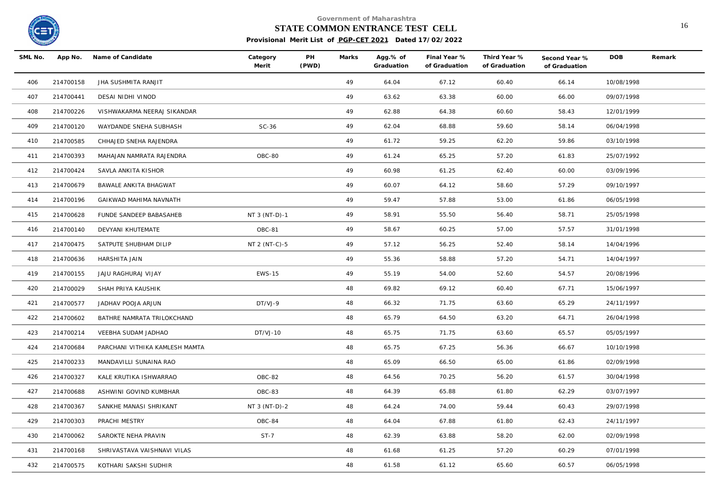

# **STATE COMMON ENTRANCE TEST CELL** 16

| SML No. | App No.   | Name of Candidate              | Category<br>Merit | PH<br>(PWD) | Marks | Agg.% of<br>Graduation | Final Year %<br>of Graduation | Third Year %<br>of Graduation | Second Year %<br>of Graduation | <b>DOB</b> | Remark |
|---------|-----------|--------------------------------|-------------------|-------------|-------|------------------------|-------------------------------|-------------------------------|--------------------------------|------------|--------|
| 406     | 214700158 | JHA SUSHMITA RANJIT            |                   |             | 49    | 64.04                  | 67.12                         | 60.40                         | 66.14                          | 10/08/1998 |        |
| 407     | 214700441 | DESAI NIDHI VINOD              |                   |             | 49    | 63.62                  | 63.38                         | 60.00                         | 66.00                          | 09/07/1998 |        |
| 408     | 214700226 | VISHWAKARMA NEERAJ SIKANDAR    |                   |             | 49    | 62.88                  | 64.38                         | 60.60                         | 58.43                          | 12/01/1999 |        |
| 409     | 214700120 | WAYDANDE SNEHA SUBHASH         | $SC-36$           |             | 49    | 62.04                  | 68.88                         | 59.60                         | 58.14                          | 06/04/1998 |        |
| 410     | 214700585 | CHHAJED SNEHA RAJENDRA         |                   |             | 49    | 61.72                  | 59.25                         | 62.20                         | 59.86                          | 03/10/1998 |        |
| 411     | 214700393 | MAHAJAN NAMRATA RAJENDRA       | OBC-80            |             | 49    | 61.24                  | 65.25                         | 57.20                         | 61.83                          | 25/07/1992 |        |
| 412     | 214700424 | SAVLA ANKITA KISHOR            |                   |             | 49    | 60.98                  | 61.25                         | 62.40                         | 60.00                          | 03/09/1996 |        |
| 413     | 214700679 | BAWALE ANKITA BHAGWAT          |                   |             | 49    | 60.07                  | 64.12                         | 58.60                         | 57.29                          | 09/10/1997 |        |
| 414     | 214700196 | GAIKWAD MAHIMA NAVNATH         |                   |             | 49    | 59.47                  | 57.88                         | 53.00                         | 61.86                          | 06/05/1998 |        |
| 415     | 214700628 | FUNDE SANDEEP BABASAHEB        | NT 3 (NT-D)-1     |             | 49    | 58.91                  | 55.50                         | 56.40                         | 58.71                          | 25/05/1998 |        |
| 416     | 214700140 | DEVYANI KHUTEMATE              | OBC-81            |             | 49    | 58.67                  | 60.25                         | 57.00                         | 57.57                          | 31/01/1998 |        |
| 417     | 214700475 | SATPUTE SHUBHAM DILIP          | NT 2 (NT-C)-5     |             | 49    | 57.12                  | 56.25                         | 52.40                         | 58.14                          | 14/04/1996 |        |
| 418     | 214700636 | HARSHITA JAIN                  |                   |             | 49    | 55.36                  | 58.88                         | 57.20                         | 54.71                          | 14/04/1997 |        |
| 419     | 214700155 | JAJU RAGHURAJ VIJAY            | <b>EWS-15</b>     |             | 49    | 55.19                  | 54.00                         | 52.60                         | 54.57                          | 20/08/1996 |        |
| 420     | 214700029 | SHAH PRIYA KAUSHIK             |                   |             | 48    | 69.82                  | 69.12                         | 60.40                         | 67.71                          | 15/06/1997 |        |
| 421     | 214700577 | JADHAV POOJA ARJUN             | DT/VJ-9           |             | 48    | 66.32                  | 71.75                         | 63.60                         | 65.29                          | 24/11/1997 |        |
| 422     | 214700602 | BATHRE NAMRATA TRILOKCHAND     |                   |             | 48    | 65.79                  | 64.50                         | 63.20                         | 64.71                          | 26/04/1998 |        |
| 423     | 214700214 | VEEBHA SUDAM JADHAO            | DT/VJ-10          |             | 48    | 65.75                  | 71.75                         | 63.60                         | 65.57                          | 05/05/1997 |        |
| 424     | 214700684 | PARCHANI VITHIKA KAMLESH MAMTA |                   |             | 48    | 65.75                  | 67.25                         | 56.36                         | 66.67                          | 10/10/1998 |        |
| 425     | 214700233 | MANDAVILLI SUNAINA RAO         |                   |             | 48    | 65.09                  | 66.50                         | 65.00                         | 61.86                          | 02/09/1998 |        |
| 426     | 214700327 | KALE KRUTIKA ISHWARRAO         | OBC-82            |             | 48    | 64.56                  | 70.25                         | 56.20                         | 61.57                          | 30/04/1998 |        |
| 427     | 214700688 | ASHWINI GOVIND KUMBHAR         | OBC-83            |             | 48    | 64.39                  | 65.88                         | 61.80                         | 62.29                          | 03/07/1997 |        |
| 428     | 214700367 | SANKHE MANASI SHRIKANT         | NT 3 (NT-D)-2     |             | 48    | 64.24                  | 74.00                         | 59.44                         | 60.43                          | 29/07/1998 |        |
| 429     | 214700303 | PRACHI MESTRY                  | OBC-84            |             | 48    | 64.04                  | 67.88                         | 61.80                         | 62.43                          | 24/11/1997 |        |
| 430     | 214700062 | SAROKTE NEHA PRAVIN            | $ST-7$            |             | 48    | 62.39                  | 63.88                         | 58.20                         | 62.00                          | 02/09/1998 |        |
| 431     | 214700168 | SHRIVASTAVA VAISHNAVI VILAS    |                   |             | 48    | 61.68                  | 61.25                         | 57.20                         | 60.29                          | 07/01/1998 |        |
| 432     | 214700575 | KOTHARI SAKSHI SUDHIR          |                   |             | 48    | 61.58                  | 61.12                         | 65.60                         | 60.57                          | 06/05/1998 |        |
|         |           |                                |                   |             |       |                        |                               |                               |                                |            |        |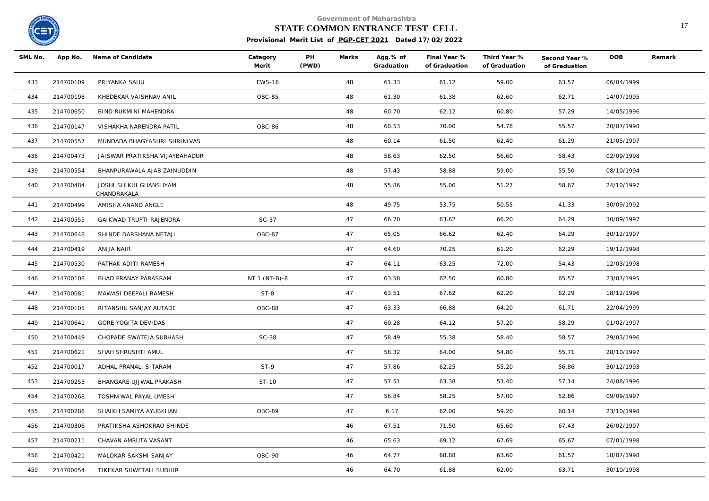

# **STATE COMMON ENTRANCE TEST CELL** 17

| SML No. |           | App No. Name of Candidate             | Category<br>Merit | PH<br>(PWD) | Marks | Agg.% of<br>Graduation | Final Year %<br>of Graduation | Third Year %<br>of Graduation | Second Year %<br>of Graduation | <b>DOB</b> | Remark |
|---------|-----------|---------------------------------------|-------------------|-------------|-------|------------------------|-------------------------------|-------------------------------|--------------------------------|------------|--------|
| 433     | 214700109 | PRIYANKA SAHU                         | <b>EWS-16</b>     |             | 48    | 61.33                  | 61.12                         | 59.00                         | 63.57                          | 06/04/1999 |        |
| 434     | 214700198 | KHEDEKAR VAISHNAV ANIL                | OBC-85            |             | 48    | 61.30                  | 61.38                         | 62.60                         | 62.71                          | 14/07/1995 |        |
| 435     | 214700650 | BIND RUKMINI MAHENDRA                 |                   |             | 48    | 60.70                  | 62.12                         | 60.80                         | 57.29                          | 14/05/1996 |        |
| 436     | 214700147 | VISHAKHA NARENDRA PATIL               | OBC-86            |             | 48    | 60.53                  | 70.00                         | 54.78                         | 55.57                          | 20/07/1998 |        |
| 437     | 214700557 | MUNDADA BHAGYASHRI SHRINIVAS          |                   |             | 48    | 60.14                  | 61.50                         | 62.40                         | 61.29                          | 21/05/1997 |        |
| 438     | 214700473 | JAISWAR PRATIKSHA VIJAYBAHADUR        |                   |             | 48    | 58.63                  | 62.50                         | 56.60                         | 58.43                          | 02/09/1998 |        |
| 439     | 214700554 | BHANPURAWALA AJAB ZAINUDDIN           |                   |             | 48    | 57.43                  | 58.88                         | 59.00                         | 55.50                          | 08/10/1994 |        |
| 440     | 214700484 | JOSHI SHIKHI GHANSHYAM<br>CHANDRAKALA |                   |             | 48    | 55.86                  | 55.00                         | 51.27                         | 58.67                          | 24/10/1997 |        |
| 441     | 214700499 | AMISHA ANAND ANGLE                    |                   |             | 48    | 49.75                  | 53.75                         | 50.55                         | 41.33                          | 30/09/1992 |        |
| 442     | 214700555 | GAIKWAD TRUPTI RAJENDRA               | $SC-37$           |             | 47    | 66.70                  | 63.62                         | 66.20                         | 64.29                          | 30/09/1997 |        |
| 443     | 214700648 | SHINDE DARSHANA NETAJI                | OBC-87            |             | 47    | 65.05                  | 66.62                         | 62.40                         | 64.29                          | 30/12/1997 |        |
| 444     | 214700419 | ANIJA NAIR                            |                   |             | 47    | 64.60                  | 70.25                         | 61.20                         | 62.29                          | 19/12/1998 |        |
| 445     | 214700530 | PATHAK ADITI RAMESH                   |                   |             | 47    | 64.11                  | 63.25                         | 72.00                         | 54.43                          | 12/03/1998 |        |
| 446     | 214700108 | BHAD PRANAY PARASRAM                  | NT 1 (NT-B)-8     |             | 47    | 63.58                  | 62.50                         | 60.80                         | 65.57                          | 23/07/1995 |        |
| 447     | 214700081 | MAWASI DEEPALI RAMESH                 | $ST-8$            |             | 47    | 63.51                  | 67.62                         | 62.20                         | 62.29                          | 18/12/1996 |        |
| 448     | 214700105 | RITANSHU SANJAY AUTADE                | OBC-88            |             | 47    | 63.33                  | 66.88                         | 64.20                         | 61.71                          | 22/04/1999 |        |
| 449     | 214700641 | GORE YOGITA DEVIDAS                   |                   |             | 47    | 60.28                  | 64.12                         | 57.20                         | 58.29                          | 01/02/1997 |        |
| 450     | 214700449 | CHOPADE SWATEJA SUBHASH               | $SC-38$           |             | 47    | 58.49                  | 55.38                         | 58.40                         | 58.57                          | 29/03/1996 |        |
| 451     | 214700621 | SHAH SHRUSHTI AMUL                    |                   |             | 47    | 58.32                  | 64.00                         | 54.80                         | 55.71                          | 28/10/1997 |        |
| 452     | 214700017 | ADHAL PRANALI SITARAM                 | $ST-9$            |             | 47    | 57.86                  | 62.25                         | 55.20                         | 56.86                          | 30/12/1993 |        |
| 453     | 214700253 | BHANGARE UJJWAL PRAKASH               | ST-10             |             | 47    | 57.51                  | 63.38                         | 53.40                         | 57.14                          | 24/08/1996 |        |
| 454     | 214700268 | TOSHNIWAL PAYAL UMESH                 |                   |             | 47    | 56.84                  | 58.25                         | 57.00                         | 52.86                          | 09/09/1997 |        |
| 455     | 214700286 | SHAIKH SAMIYA AYUBKHAN                | OBC-89            |             | 47    | 6.17                   | 62.00                         | 59.20                         | 60.14                          | 23/10/1998 |        |
| 456     | 214700306 | PRATIKSHA ASHOKRAO SHINDE             |                   |             | 46    | 67.51                  | 71.50                         | 65.60                         | 67.43                          | 26/02/1997 |        |
| 457     | 214700211 | CHAVAN AMRUTA VASANT                  |                   |             | 46    | 65.63                  | 69.12                         | 67.69                         | 65.67                          | 07/01/1998 |        |
| 458     | 214700421 | MALOKAR SAKSHI SANJAY                 | OBC-90            |             | 46    | 64.77                  | 68.88                         | 63.60                         | 61.57                          | 18/07/1998 |        |
| 459     | 214700054 | TIKEKAR SHWETALI SUDHIR               |                   |             | 46    | 64.70                  | 61.88                         | 62.00                         | 63.71                          | 30/10/1998 |        |
|         |           |                                       |                   |             |       |                        |                               |                               |                                |            |        |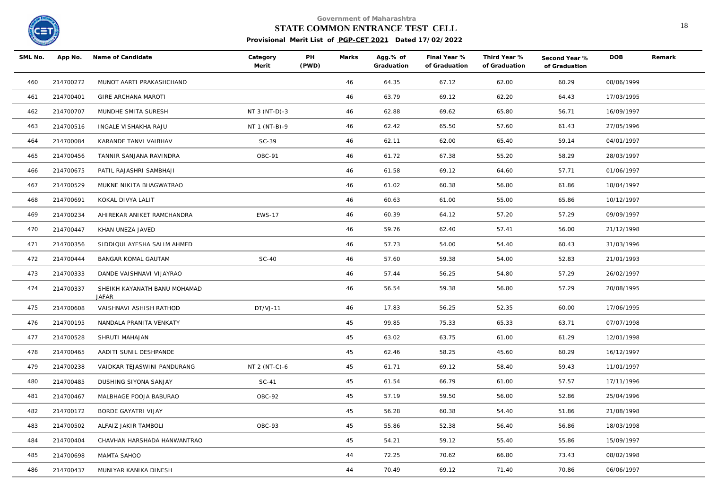

# **STATE COMMON ENTRANCE TEST CELL** 18

| SML No. | App No.   | Name of Candidate                            | Category<br>Merit | PH<br>(PWD) | Marks | Agg.% of<br>Graduation | Final Year %<br>of Graduation | Third Year %<br>of Graduation | Second Year %<br>of Graduation | <b>DOB</b> | Remark |
|---------|-----------|----------------------------------------------|-------------------|-------------|-------|------------------------|-------------------------------|-------------------------------|--------------------------------|------------|--------|
| 460     | 214700272 | MUNOT AARTI PRAKASHCHAND                     |                   |             | 46    | 64.35                  | 67.12                         | 62.00                         | 60.29                          | 08/06/1999 |        |
| 461     | 214700401 | GIRE ARCHANA MAROTI                          |                   |             | 46    | 63.79                  | 69.12                         | 62.20                         | 64.43                          | 17/03/1995 |        |
| 462     | 214700707 | MUNDHE SMITA SURESH                          | NT 3 (NT-D)-3     |             | 46    | 62.88                  | 69.62                         | 65.80                         | 56.71                          | 16/09/1997 |        |
| 463     | 214700516 | INGALE VISHAKHA RAJU                         | NT 1 (NT-B)-9     |             | 46    | 62.42                  | 65.50                         | 57.60                         | 61.43                          | 27/05/1996 |        |
| 464     | 214700084 | KARANDE TANVI VAIBHAV                        | $SC-39$           |             | 46    | 62.11                  | 62.00                         | 65.40                         | 59.14                          | 04/01/1997 |        |
| 465     | 214700456 | TANNIR SANJANA RAVINDRA                      | OBC-91            |             | 46    | 61.72                  | 67.38                         | 55.20                         | 58.29                          | 28/03/1997 |        |
| 466     | 214700675 | PATIL RAJASHRI SAMBHAJI                      |                   |             | 46    | 61.58                  | 69.12                         | 64.60                         | 57.71                          | 01/06/1997 |        |
| 467     | 214700529 | MUKNE NIKITA BHAGWATRAO                      |                   |             | 46    | 61.02                  | 60.38                         | 56.80                         | 61.86                          | 18/04/1997 |        |
| 468     | 214700691 | KOKAL DIVYA LALIT                            |                   |             | 46    | 60.63                  | 61.00                         | 55.00                         | 65.86                          | 10/12/1997 |        |
| 469     | 214700234 | AHIREKAR ANIKET RAMCHANDRA                   | <b>EWS-17</b>     |             | 46    | 60.39                  | 64.12                         | 57.20                         | 57.29                          | 09/09/1997 |        |
| 470     | 214700447 | KHAN UNEZA JAVED                             |                   |             | 46    | 59.76                  | 62.40                         | 57.41                         | 56.00                          | 21/12/1998 |        |
| 471     | 214700356 | SIDDIQUI AYESHA SALIM AHMED                  |                   |             | 46    | 57.73                  | 54.00                         | 54.40                         | 60.43                          | 31/03/1996 |        |
| 472     | 214700444 | <b>BANGAR KOMAL GAUTAM</b>                   | $SC-40$           |             | 46    | 57.60                  | 59.38                         | 54.00                         | 52.83                          | 21/01/1993 |        |
| 473     | 214700333 | DANDE VAISHNAVI VIJAYRAO                     |                   |             | 46    | 57.44                  | 56.25                         | 54.80                         | 57.29                          | 26/02/1997 |        |
| 474     | 214700337 | SHEIKH KAYANATH BANU MOHAMAD<br><b>JAFAR</b> |                   |             | 46    | 56.54                  | 59.38                         | 56.80                         | 57.29                          | 20/08/1995 |        |
| 475     | 214700608 | VAISHNAVI ASHISH RATHOD                      | $DT/VJ-11$        |             | 46    | 17.83                  | 56.25                         | 52.35                         | 60.00                          | 17/06/1995 |        |
| 476     | 214700195 | NANDALA PRANITA VENKATY                      |                   |             | 45    | 99.85                  | 75.33                         | 65.33                         | 63.71                          | 07/07/1998 |        |
| 477     | 214700528 | SHRUTI MAHAJAN                               |                   |             | 45    | 63.02                  | 63.75                         | 61.00                         | 61.29                          | 12/01/1998 |        |
| 478     | 214700465 | AADITI SUNIL DESHPANDE                       |                   |             | 45    | 62.46                  | 58.25                         | 45.60                         | 60.29                          | 16/12/1997 |        |
| 479     | 214700238 | VAIDKAR TEJASWINI PANDURANG                  | NT 2 (NT-C)-6     |             | 45    | 61.71                  | 69.12                         | 58.40                         | 59.43                          | 11/01/1997 |        |
| 480     | 214700485 | DUSHING SIYONA SANJAY                        | $SC-41$           |             | 45    | 61.54                  | 66.79                         | 61.00                         | 57.57                          | 17/11/1996 |        |
| 481     | 214700467 | MALBHAGE POOJA BABURAO                       | OBC-92            |             | 45    | 57.19                  | 59.50                         | 56.00                         | 52.86                          | 25/04/1996 |        |
| 482     | 214700172 | BORDE GAYATRI VIJAY                          |                   |             | 45    | 56.28                  | 60.38                         | 54.40                         | 51.86                          | 21/08/1998 |        |
| 483     | 214700502 | ALFAIZ JAKIR TAMBOLI                         | OBC-93            |             | 45    | 55.86                  | 52.38                         | 56.40                         | 56.86                          | 18/03/1998 |        |
| 484     | 214700404 | CHAVHAN HARSHADA HANWANTRAO                  |                   |             | 45    | 54.21                  | 59.12                         | 55.40                         | 55.86                          | 15/09/1997 |        |
| 485     | 214700698 | MAMTA SAHOO                                  |                   |             | 44    | 72.25                  | 70.62                         | 66.80                         | 73.43                          | 08/02/1998 |        |
| 486     | 214700437 | MUNIYAR KANIKA DINESH                        |                   |             | 44    | 70.49                  | 69.12                         | 71.40                         | 70.86                          | 06/06/1997 |        |
|         |           |                                              |                   |             |       |                        |                               |                               |                                |            |        |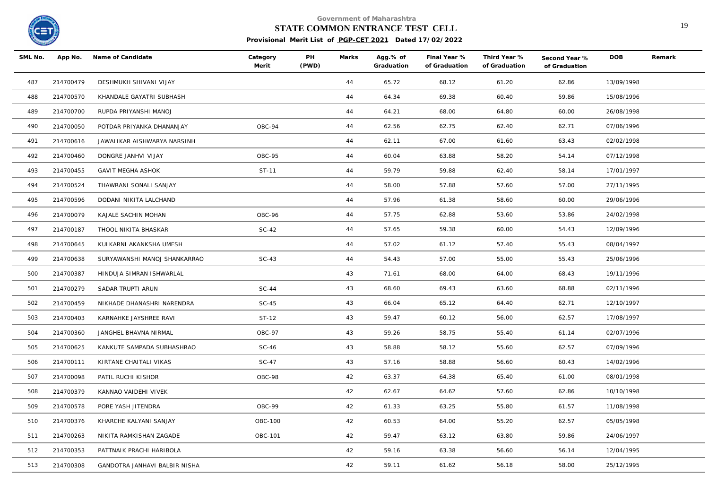

# **STATE COMMON ENTRANCE TEST CELL** 19

| SML No. |           | App No. Name of Candidate     | Category<br>Merit | PH<br>(PWD) | Marks | Agg.% of<br>Graduation | Final Year %<br>of Graduation | Third Year %<br>of Graduation | Second Year %<br>of Graduation | <b>DOB</b> | Remark |
|---------|-----------|-------------------------------|-------------------|-------------|-------|------------------------|-------------------------------|-------------------------------|--------------------------------|------------|--------|
| 487     | 214700479 | DESHMUKH SHIVANI VIJAY        |                   |             | 44    | 65.72                  | 68.12                         | 61.20                         | 62.86                          | 13/09/1998 |        |
| 488     | 214700570 | KHANDALE GAYATRI SUBHASH      |                   |             | 44    | 64.34                  | 69.38                         | 60.40                         | 59.86                          | 15/08/1996 |        |
| 489     | 214700700 | RUPDA PRIYANSHI MANOJ         |                   |             | 44    | 64.21                  | 68.00                         | 64.80                         | 60.00                          | 26/08/1998 |        |
| 490     | 214700050 | POTDAR PRIYANKA DHANANJAY     | OBC-94            |             | 44    | 62.56                  | 62.75                         | 62.40                         | 62.71                          | 07/06/1996 |        |
| 491     | 214700616 | JAWALIKAR AISHWARYA NARSINH   |                   |             | 44    | 62.11                  | 67.00                         | 61.60                         | 63.43                          | 02/02/1998 |        |
| 492     | 214700460 | DONGRE JANHVI VIJAY           | OBC-95            |             | 44    | 60.04                  | 63.88                         | 58.20                         | 54.14                          | 07/12/1998 |        |
| 493     | 214700455 | <b>GAVIT MEGHA ASHOK</b>      | ST-11             |             | 44    | 59.79                  | 59.88                         | 62.40                         | 58.14                          | 17/01/1997 |        |
| 494     | 214700524 | THAWRANI SONALI SANJAY        |                   |             | 44    | 58.00                  | 57.88                         | 57.60                         | 57.00                          | 27/11/1995 |        |
| 495     | 214700596 | DODANI NIKITA LALCHAND        |                   |             | 44    | 57.96                  | 61.38                         | 58.60                         | 60.00                          | 29/06/1996 |        |
| 496     | 214700079 | KAJALE SACHIN MOHAN           | OBC-96            |             | 44    | 57.75                  | 62.88                         | 53.60                         | 53.86                          | 24/02/1998 |        |
| 497     | 214700187 | THOOL NIKITA BHASKAR          | $SC-42$           |             | 44    | 57.65                  | 59.38                         | 60.00                         | 54.43                          | 12/09/1996 |        |
| 498     | 214700645 | KULKARNI AKANKSHA UMESH       |                   |             | 44    | 57.02                  | 61.12                         | 57.40                         | 55.43                          | 08/04/1997 |        |
| 499     | 214700638 | SURYAWANSHI MANOJ SHANKARRAO  | $SC-43$           |             | 44    | 54.43                  | 57.00                         | 55.00                         | 55.43                          | 25/06/1996 |        |
| 500     | 214700387 | HINDUJA SIMRAN ISHWARLAL      |                   |             | 43    | 71.61                  | 68.00                         | 64.00                         | 68.43                          | 19/11/1996 |        |
| 501     | 214700279 | SADAR TRUPTI ARUN             | $SC-44$           |             | 43    | 68.60                  | 69.43                         | 63.60                         | 68.88                          | 02/11/1996 |        |
| 502     | 214700459 | NIKHADE DHANASHRI NARENDRA    | $SC-45$           |             | 43    | 66.04                  | 65.12                         | 64.40                         | 62.71                          | 12/10/1997 |        |
| 503     | 214700403 | KARNAHKE JAYSHREE RAVI        | ST-12             |             | 43    | 59.47                  | 60.12                         | 56.00                         | 62.57                          | 17/08/1997 |        |
| 504     | 214700360 | JANGHEL BHAVNA NIRMAL         | OBC-97            |             | 43    | 59.26                  | 58.75                         | 55.40                         | 61.14                          | 02/07/1996 |        |
| 505     | 214700625 | KANKUTE SAMPADA SUBHASHRAO    | $SC-46$           |             | 43    | 58.88                  | 58.12                         | 55.60                         | 62.57                          | 07/09/1996 |        |
| 506     | 214700111 | KIRTANE CHAITALI VIKAS        | $SC-47$           |             | 43    | 57.16                  | 58.88                         | 56.60                         | 60.43                          | 14/02/1996 |        |
| 507     | 214700098 | PATIL RUCHI KISHOR            | OBC-98            |             | 42    | 63.37                  | 64.38                         | 65.40                         | 61.00                          | 08/01/1998 |        |
| 508     | 214700379 | KANNAO VAIDEHI VIVEK          |                   |             | 42    | 62.67                  | 64.62                         | 57.60                         | 62.86                          | 10/10/1998 |        |
| 509     | 214700578 | PORE YASH JITENDRA            | OBC-99            |             | 42    | 61.33                  | 63.25                         | 55.80                         | 61.57                          | 11/08/1998 |        |
| 510     | 214700376 | KHARCHE KALYANI SANJAY        | OBC-100           |             | 42    | 60.53                  | 64.00                         | 55.20                         | 62.57                          | 05/05/1998 |        |
| 511     | 214700263 | NIKITA RAMKISHAN ZAGADE       | OBC-101           |             | 42    | 59.47                  | 63.12                         | 63.80                         | 59.86                          | 24/06/1997 |        |
| 512     | 214700353 | PATTNAIK PRACHI HARIBOLA      |                   |             | 42    | 59.16                  | 63.38                         | 56.60                         | 56.14                          | 12/04/1995 |        |
| 513     | 214700308 | GANDOTRA JANHAVI BALBIR NISHA |                   |             | 42    | 59.11                  | 61.62                         | 56.18                         | 58.00                          | 25/12/1995 |        |
|         |           |                               |                   |             |       |                        |                               |                               |                                |            |        |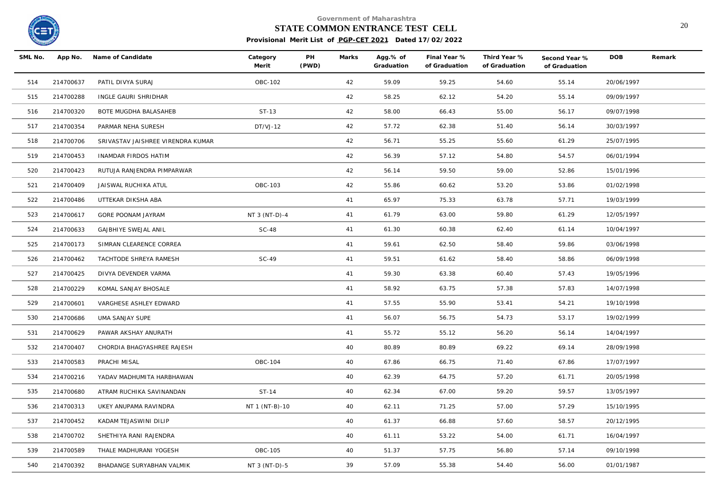

### **STATE COMMON ENTRANCE TEST CELL** 20

| SML No. |           | App No. Name of Candidate         | Category<br>Merit | PH<br>(PWD) | Marks | Agg.% of<br>Graduation | Final Year %<br>of Graduation | Third Year %<br>of Graduation | Second Year %<br>of Graduation | <b>DOB</b> | Remark |
|---------|-----------|-----------------------------------|-------------------|-------------|-------|------------------------|-------------------------------|-------------------------------|--------------------------------|------------|--------|
| 514     | 214700637 | PATIL DIVYA SURAJ                 | OBC-102           |             | 42    | 59.09                  | 59.25                         | 54.60                         | 55.14                          | 20/06/1997 |        |
| 515     | 214700288 | INGLE GAURI SHRIDHAR              |                   |             | 42    | 58.25                  | 62.12                         | 54.20                         | 55.14                          | 09/09/1997 |        |
| 516     | 214700320 | BOTE MUGDHA BALASAHEB             | ST-13             |             | 42    | 58.00                  | 66.43                         | 55.00                         | 56.17                          | 09/07/1998 |        |
| 517     | 214700354 | PARMAR NEHA SURESH                | $DT/VJ-12$        |             | 42    | 57.72                  | 62.38                         | 51.40                         | 56.14                          | 30/03/1997 |        |
| 518     | 214700706 | SRIVASTAV JAISHREE VIRENDRA KUMAR |                   |             | 42    | 56.71                  | 55.25                         | 55.60                         | 61.29                          | 25/07/1995 |        |
| 519     | 214700453 | INAMDAR FIRDOS HATIM              |                   |             | 42    | 56.39                  | 57.12                         | 54.80                         | 54.57                          | 06/01/1994 |        |
| 520     | 214700423 | RUTUJA RANJENDRA PIMPARWAR        |                   |             | 42    | 56.14                  | 59.50                         | 59.00                         | 52.86                          | 15/01/1996 |        |
| 521     | 214700409 | JAISWAL RUCHIKA ATUL              | OBC-103           |             | 42    | 55.86                  | 60.62                         | 53.20                         | 53.86                          | 01/02/1998 |        |
| 522     | 214700486 | UTTEKAR DIKSHA ABA                |                   |             | 41    | 65.97                  | 75.33                         | 63.78                         | 57.71                          | 19/03/1999 |        |
| 523     | 214700617 | GORE POONAM JAYRAM                | NT 3 (NT-D)-4     |             | 41    | 61.79                  | 63.00                         | 59.80                         | 61.29                          | 12/05/1997 |        |
| 524     | 214700633 | <b>GAJBHIYE SWEJAL ANIL</b>       | <b>SC-48</b>      |             | 41    | 61.30                  | 60.38                         | 62.40                         | 61.14                          | 10/04/1997 |        |
| 525     | 214700173 | SIMRAN CLEARENCE CORREA           |                   |             | 41    | 59.61                  | 62.50                         | 58.40                         | 59.86                          | 03/06/1998 |        |
| 526     | 214700462 | TACHTODE SHREYA RAMESH            | $SC-49$           |             | 41    | 59.51                  | 61.62                         | 58.40                         | 58.86                          | 06/09/1998 |        |
| 527     | 214700425 | DIVYA DEVENDER VARMA              |                   |             | 41    | 59.30                  | 63.38                         | 60.40                         | 57.43                          | 19/05/1996 |        |
| 528     | 214700229 | KOMAL SANJAY BHOSALE              |                   |             | 41    | 58.92                  | 63.75                         | 57.38                         | 57.83                          | 14/07/1998 |        |
| 529     | 214700601 | VARGHESE ASHLEY EDWARD            |                   |             | 41    | 57.55                  | 55.90                         | 53.41                         | 54.21                          | 19/10/1998 |        |
| 530     | 214700686 | UMA SANJAY SUPE                   |                   |             | 41    | 56.07                  | 56.75                         | 54.73                         | 53.17                          | 19/02/1999 |        |
| 531     | 214700629 | PAWAR AKSHAY ANURATH              |                   |             | 41    | 55.72                  | 55.12                         | 56.20                         | 56.14                          | 14/04/1997 |        |
| 532     | 214700407 | CHORDIA BHAGYASHREE RAJESH        |                   |             | 40    | 80.89                  | 80.89                         | 69.22                         | 69.14                          | 28/09/1998 |        |
| 533     | 214700583 | PRACHI MISAL                      | OBC-104           |             | 40    | 67.86                  | 66.75                         | 71.40                         | 67.86                          | 17/07/1997 |        |
| 534     | 214700216 | YADAV MADHUMITA HARBHAWAN         |                   |             | 40    | 62.39                  | 64.75                         | 57.20                         | 61.71                          | 20/05/1998 |        |
| 535     | 214700680 | ATRAM RUCHIKA SAVINANDAN          | ST-14             |             | 40    | 62.34                  | 67.00                         | 59.20                         | 59.57                          | 13/05/1997 |        |
| 536     | 214700313 | UKEY ANUPAMA RAVINDRA             | NT 1 (NT-B)-10    |             | 40    | 62.11                  | 71.25                         | 57.00                         | 57.29                          | 15/10/1995 |        |
| 537     | 214700452 | KADAM TEJASWINI DILIP             |                   |             | 40    | 61.37                  | 66.88                         | 57.60                         | 58.57                          | 20/12/1995 |        |
| 538     | 214700702 | SHETHIYA RANI RAJENDRA            |                   |             | 40    | 61.11                  | 53.22                         | 54.00                         | 61.71                          | 16/04/1997 |        |
| 539     | 214700589 | THALE MADHURANI YOGESH            | OBC-105           |             | 40    | 51.37                  | 57.75                         | 56.80                         | 57.14                          | 09/10/1998 |        |
| 540     | 214700392 | BHADANGE SURYABHAN VALMIK         | NT 3 (NT-D)-5     |             | 39    | 57.09                  | 55.38                         | 54.40                         | 56.00                          | 01/01/1987 |        |